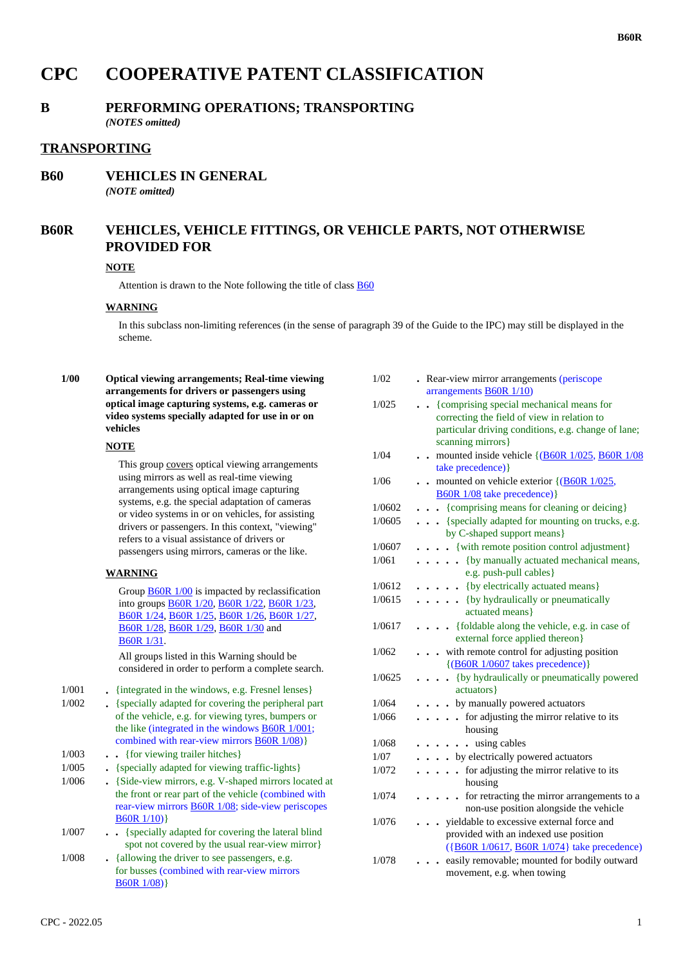# **CPC COOPERATIVE PATENT CLASSIFICATION**

## **B PERFORMING OPERATIONS; TRANSPORTING**

*(NOTES omitted)*

## **TRANSPORTING**

# **B60 VEHICLES IN GENERAL**

*(NOTE omitted)*

# **B60R VEHICLES, VEHICLE FITTINGS, OR VEHICLE PARTS, NOT OTHERWISE PROVIDED FOR**

#### **NOTE**

Attention is drawn to the Note following the title of class B60

#### **WARNING**

In this subclass non-limiting references (in the sense of paragraph 39 of the Guide to the IPC) may still be displayed in the scheme.

 **1/00 Optical viewing arrangements; Real-time viewing arrangements for drivers or passengers using optical image capturing systems, e.g. cameras or video systems specially adapted for use in or on vehicles**

#### **NOTE**

This group covers optical viewing arrangements using mirrors as well as real-time viewing arrangements using optical image capturing systems, e.g. the special adaptation of cameras or video systems in or on vehicles, for assisting drivers or passengers. In this context, "viewing" refers to a visual assistance of drivers or passengers using mirrors, cameras or the like.

#### **WARNING**

Group **B60R 1/00** is impacted by reclassification into groups B60R 1/20, B60R 1/22, B60R 1/23, B60R 1/24, B60R 1/25, B60R 1/26, B60R 1/27, B60R 1/28, B60R 1/29, B60R 1/30 and B60R 1/31.

All groups listed in this Warning should be considered in order to perform a complete search.

1/001 **.** {integrated in the windows, e.g. Fresnel lenses}

- 1/002 **.** {specially adapted for covering the peripheral part of the vehicle, e.g. for viewing tyres, bumpers or the like (integrated in the windows B60R 1/001; combined with rear-view mirrors B60R 1/08)}
- 1/003 **. .** {for viewing trailer hitches}
- 1/005 **.** {specially adapted for viewing traffic-lights}
- 1/006 **.** {Side-view mirrors, e.g. V-shaped mirrors located at the front or rear part of the vehicle (combined with rear-view mirrors B60R 1/08; side-view periscopes B60R 1/10)}
- 1/007 **. .** {specially adapted for covering the lateral blind spot not covered by the usual rear-view mirror}
- 1/008 **.** {allowing the driver to see passengers, e.g. for busses (combined with rear-view mirrors B60R 1/08)}

| 1/02   | . Rear-view mirror arrangements (periscope<br>arrangements <b>B60R</b> 1/10)                                                                                        |
|--------|---------------------------------------------------------------------------------------------------------------------------------------------------------------------|
| 1/025  | {comprising special mechanical means for<br>correcting the field of view in relation to<br>particular driving conditions, e.g. change of lane;<br>scanning mirrors} |
| 1/04   | mounted inside vehicle {(B60R 1/025, B60R 1/08<br>$\ddot{\phantom{a}}$<br>take precedence) }                                                                        |
| 1/06   | mounted on vehicle exterior {(B60R 1/025,<br><b>B60R 1/08</b> take precedence)}                                                                                     |
| 1/0602 | {comprising means for cleaning or deicing}                                                                                                                          |
| 1/0605 | {specially adapted for mounting on trucks, e.g.<br>$\ddotsc$<br>by C-shaped support means}                                                                          |
| 1/0607 | · {with remote position control adjustment}                                                                                                                         |
| 1/061  | . {by manually actuated mechanical means,<br>e.g. push-pull cables}                                                                                                 |
| 1/0612 | {by electrically actuated means}                                                                                                                                    |
| 1/0615 | . {by hydraulically or pneumatically<br>actuated means}                                                                                                             |
| 1/0617 | {foldable along the vehicle, e.g. in case of<br>$\ddot{\phantom{0}}$<br>external force applied thereon}                                                             |
| 1/062  | with remote control for adjusting position<br>$\{(B60R\ 1/0607 \$ takes precedence)}                                                                                |
| 1/0625 | {by hydraulically or pneumatically powered<br>actuators }                                                                                                           |
| 1/064  | • by manually powered actuators                                                                                                                                     |
| 1/066  | for adjusting the mirror relative to its<br>$\overline{a}$<br>housing                                                                                               |
| 1/068  | . . using cables                                                                                                                                                    |
| 1/07   | . . by electrically powered actuators                                                                                                                               |
| 1/072  | for adjusting the mirror relative to its<br>$\overline{a}$<br>housing                                                                                               |
| 1/074  | for retracting the mirror arrangements to a<br>. .<br>non-use position alongside the vehicle                                                                        |
| 1/076  | yieldable to excessive external force and<br>provided with an indexed use position                                                                                  |
| 1/078  | ({B60R 1/0617, B60R 1/074} take precedence)<br>easily removable; mounted for bodily outward<br>movement, e.g. when towing                                           |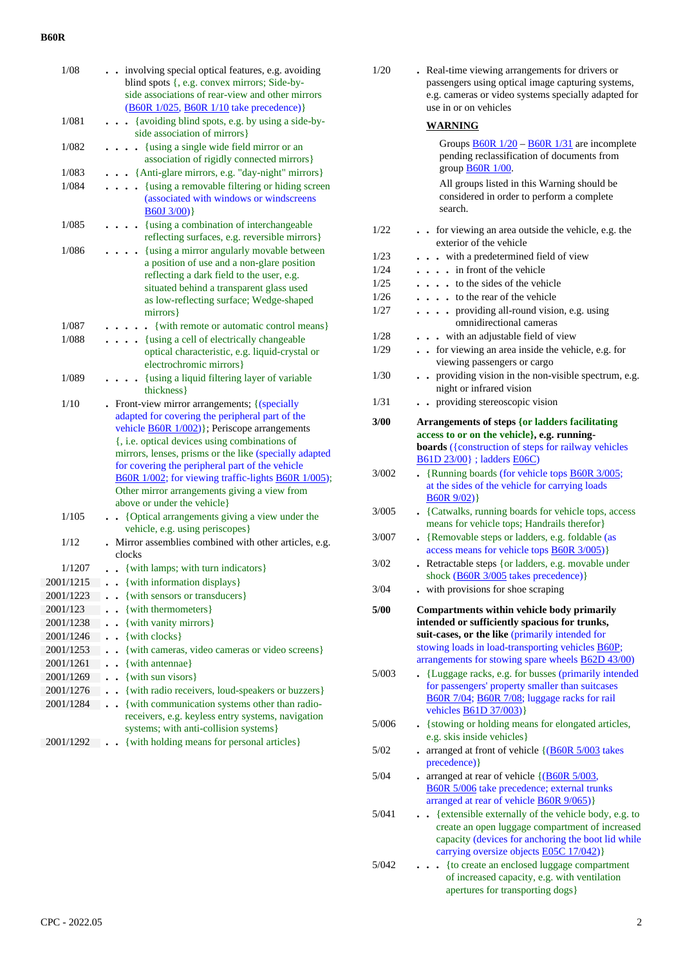| 1/08      | . involving special optical features, e.g. avoiding<br>blind spots {, e.g. convex mirrors; Side-by-                                   |
|-----------|---------------------------------------------------------------------------------------------------------------------------------------|
|           | side associations of rear-view and other mirrors                                                                                      |
| 1/081     | (B60R 1/025, B60R 1/10 take precedence)}<br>{avoiding blind spots, e.g. by using a side-by-                                           |
|           | side association of mirrors}                                                                                                          |
| 1/082     | {using a single wide field mirror or an                                                                                               |
|           | association of rigidly connected mirrors}                                                                                             |
| 1/083     | • {Anti-glare mirrors, e.g. "day-night" mirrors}                                                                                      |
| 1/084     | {using a removable filtering or hiding screen<br>$\ddot{\phantom{a}}$<br>(associated with windows or windscreens<br><b>B60J 3/00)</b> |
| 1/085     | • {using a combination of interchangeable<br>reflecting surfaces, e.g. reversible mirrors}                                            |
| 1/086     | {using a mirror angularly movable between<br>a position of use and a non-glare position                                               |
|           | reflecting a dark field to the user, e.g.                                                                                             |
|           | situated behind a transparent glass used                                                                                              |
|           | as low-reflecting surface; Wedge-shaped                                                                                               |
|           | mirrors}                                                                                                                              |
| 1/087     | {with remote or automatic control means}                                                                                              |
| 1/088     | . {using a cell of electrically changeable                                                                                            |
|           | optical characteristic, e.g. liquid-crystal or<br>electrochromic mirrors}                                                             |
|           |                                                                                                                                       |
| 1/089     | {using a liquid filtering layer of variable<br>thickness }                                                                            |
| 1/10      | Front-view mirror arrangements; {(specially                                                                                           |
|           | adapted for covering the peripheral part of the                                                                                       |
|           | vehicle <b>B60R</b> 1/002)}; Periscope arrangements                                                                                   |
|           | {, i.e. optical devices using combinations of                                                                                         |
|           | mirrors, lenses, prisms or the like (specially adapted                                                                                |
|           | for covering the peripheral part of the vehicle                                                                                       |
|           | B60R 1/002; for viewing traffic-lights B60R 1/005);                                                                                   |
|           | Other mirror arrangements giving a view from<br>above or under the vehicle}                                                           |
| 1/105     | {Optical arrangements giving a view under the<br>$\sim$                                                                               |
|           | vehicle, e.g. using periscopes}                                                                                                       |
| 1/12      | Mirror assemblies combined with other articles, e.g.                                                                                  |
|           | clocks                                                                                                                                |
| 1/1207    | . . {with lamps; with turn indicators}                                                                                                |
| 2001/1215 | {with information displays}                                                                                                           |
| 2001/1223 | {with sensors or transducers}                                                                                                         |
| 2001/123  | {with thermometers}                                                                                                                   |
| 2001/1238 | {with vanity mirrors}                                                                                                                 |
| 2001/1246 | {with clocks}                                                                                                                         |
| 2001/1253 | {with cameras, video cameras or video screens}                                                                                        |
| 2001/1261 | {with antennae}                                                                                                                       |
| 2001/1269 | {with sun visors}                                                                                                                     |
| 2001/1276 | {with radio receivers, loud-speakers or buzzers}                                                                                      |
| 2001/1284 | {with communication systems other than radio-                                                                                         |
|           | receivers, e.g. keyless entry systems, navigation                                                                                     |
|           | systems; with anti-collision systems}                                                                                                 |
| 2001/1292 | {with holding means for personal articles}                                                                                            |

| 1/20  | . Real-time viewing arrangements for drivers or<br>passengers using optical image capturing systems,<br>e.g. cameras or video systems specially adapted for<br>use in or on vehicles |
|-------|--------------------------------------------------------------------------------------------------------------------------------------------------------------------------------------|
|       | WARNING                                                                                                                                                                              |
|       | Groups $\underline{B60R}$ 1/20 – $\underline{B60R}$ 1/31 are incomplete<br>pending reclassification of documents from<br>group <b>B60R</b> 1/00.                                     |
|       | All groups listed in this Warning should be<br>considered in order to perform a complete<br>search.                                                                                  |
| 1/22  | for viewing an area outside the vehicle, e.g. the<br>exterior of the vehicle                                                                                                         |
| 1/23  | . . with a predetermined field of view                                                                                                                                               |
| 1/24  | . in front of the vehicle                                                                                                                                                            |
| 1/25  | . to the sides of the vehicle                                                                                                                                                        |
| 1/26  | to the rear of the vehicle                                                                                                                                                           |
| 1/27  | providing all-round vision, e.g. using<br>.<br>omnidirectional cameras                                                                                                               |
| 1/28  | . . with an adjustable field of view                                                                                                                                                 |
| 1/29  | • for viewing an area inside the vehicle, e.g. for                                                                                                                                   |
| 1/30  | viewing passengers or cargo<br>providing vision in the non-visible spectrum, e.g.<br>night or infrared vision                                                                        |
| 1/31  | providing stereoscopic vision                                                                                                                                                        |
| 3/00  |                                                                                                                                                                                      |
|       | <b>Arrangements of steps {or ladders facilitating</b><br>access to or on the vehicle}, e.g. running-                                                                                 |
|       | boards ({construction of steps for railway vehicles                                                                                                                                  |
|       | B61D 23/00} ; ladders E06C)                                                                                                                                                          |
| 3/002 | . {Running boards (for vehicle tops <b>B60R 3/005</b> ;                                                                                                                              |
|       | at the sides of the vehicle for carrying loads<br>B60R 9/02)                                                                                                                         |
| 3/005 | • {Catwalks, running boards for vehicle tops, access<br>means for vehicle tops; Handrails therefor}                                                                                  |
| 3/007 | . {Removable steps or ladders, e.g. foldable (as<br>access means for vehicle tops <b>B60R</b> 3/005)}                                                                                |
| 3/02  | Retractable steps {or ladders, e.g. movable under<br>shock (B60R 3/005 takes precedence)}                                                                                            |
| 3/04  | with provisions for shoe scraping                                                                                                                                                    |
| 5/00  | Compartments within vehicle body primarily<br>intended or sufficiently spacious for trunks,                                                                                          |
|       | suit-cases, or the like (primarily intended for<br>stowing loads in load-transporting vehicles <b>B60P</b> ;                                                                         |
|       | arrangements for stowing spare wheels <b>B62D 43/00</b> )                                                                                                                            |
| 5/003 | {Luggage racks, e.g. for busses (primarily intended<br>for passengers' property smaller than suitcases                                                                               |
|       | B60R 7/04; B60R 7/08; luggage racks for rail<br>vehicles <b>B61D 37/003</b> )}                                                                                                       |
| 5/006 | - {stowing or holding means for elongated articles,<br>e.g. skis inside vehicles}                                                                                                    |
| 5/02  | arranged at front of vehicle {(B60R 5/003 takes<br>precedence) }                                                                                                                     |
| 5/04  | arranged at rear of vehicle {(B60R 5/003,<br>B60R 5/006 take precedence; external trunks<br>arranged at rear of vehicle <b>B60R 9/065</b> )}                                         |
| 5/041 | {extensible externally of the vehicle body, e.g. to                                                                                                                                  |
|       | create an open luggage compartment of increased<br>capacity (devices for anchoring the boot lid while<br>carrying oversize objects <b>E05C 17/042</b> )}                             |
| 5/042 | {to create an enclosed luggage compartment<br>of increased capacity, e.g. with ventilation                                                                                           |

apertures for transporting dogs}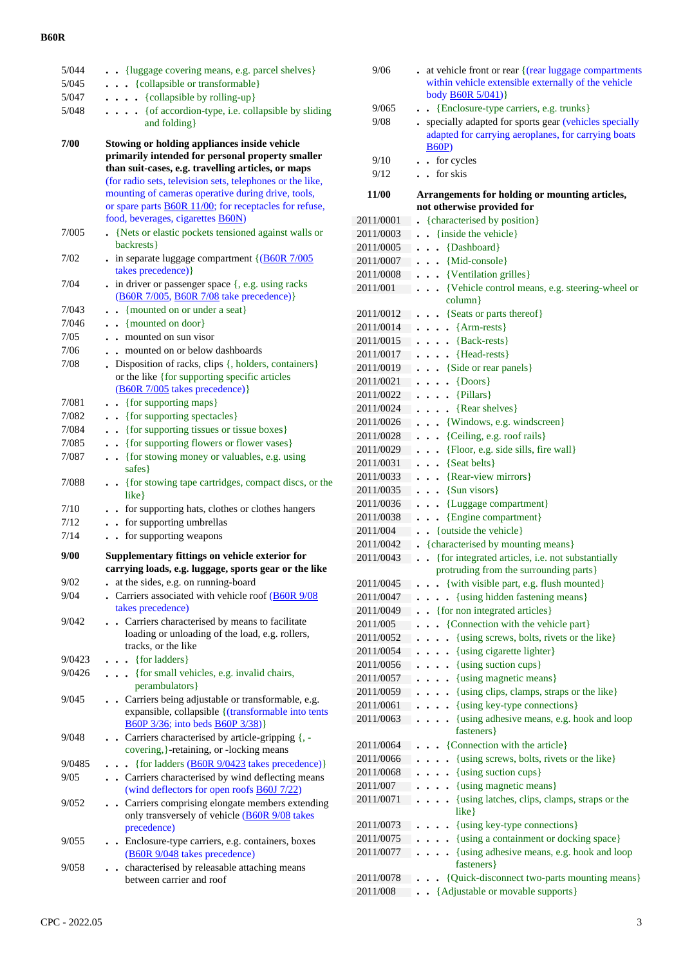| 5/044  | . . {luggage covering means, e.g. parcel shelves}                                                                                                                                                                             |
|--------|-------------------------------------------------------------------------------------------------------------------------------------------------------------------------------------------------------------------------------|
| 5/045  | . {collapsible or transformable}                                                                                                                                                                                              |
| 5/047  | $\ldots$ (collapsible by rolling-up)                                                                                                                                                                                          |
| 5/048  | . { of accordion-type, i.e. collapsible by sliding<br>and folding}                                                                                                                                                            |
| 7/00   | Stowing or holding appliances inside vehicle<br>primarily intended for personal property smaller<br>than suit-cases, e.g. travelling articles, or maps                                                                        |
|        | (for radio sets, television sets, telephones or the like,<br>mounting of cameras operative during drive, tools,<br>or spare parts <b>B60R</b> 11/00; for receptacles for refuse,<br>food, beverages, cigarettes <b>B60N</b> ) |
| 7/005  | {Nets or elastic pockets tensioned against walls or<br>backrests}                                                                                                                                                             |
| 7/02   | . in separate luggage compartment $\{$ (B60R 7/005<br>takes precedence) }                                                                                                                                                     |
| 7/04   | $.$ in driver or passenger space $\{, e.g. \text{ using } \text{racks}\}$<br>(B60R 7/005, B60R 7/08 take precedence)}                                                                                                         |
| 7/043  | . {mounted on or under a seat}                                                                                                                                                                                                |
| 7/046  | . . {mounted on door}                                                                                                                                                                                                         |
| 7/05   | mounted on sun visor<br>$\ddot{\phantom{a}}$                                                                                                                                                                                  |
| 7/06   | mounted on or below dashboards                                                                                                                                                                                                |
| 7/08   | Disposition of racks, clips {, holders, containers}<br>or the like {for supporting specific articles<br>(B60R 7/005 takes precedence)}                                                                                        |
| 7/081  | {for supporting maps}                                                                                                                                                                                                         |
| 7/082  | {for supporting spectacles}                                                                                                                                                                                                   |
| 7/084  | {for supporting tissues or tissue boxes}                                                                                                                                                                                      |
| 7/085  | {for supporting flowers or flower vases}                                                                                                                                                                                      |
| 7/087  | {for stowing money or valuables, e.g. using<br>$\ddot{\phantom{0}}$<br>safes }                                                                                                                                                |
| 7/088  | {for stowing tape cartridges, compact discs, or the<br>$\ddot{\phantom{0}}$                                                                                                                                                   |
|        | $like$ }                                                                                                                                                                                                                      |
| 7/10   | . . for supporting hats, clothes or clothes hangers                                                                                                                                                                           |
| 7/12   | for supporting umbrellas<br>$\ddot{\phantom{0}}$                                                                                                                                                                              |
| 7/14   | for supporting weapons<br>$\ddot{\phantom{0}}$                                                                                                                                                                                |
| 9/00   | Supplementary fittings on vehicle exterior for<br>carrying loads, e.g. luggage, sports gear or the like                                                                                                                       |
| 9/02   | at the sides, e.g. on running-board                                                                                                                                                                                           |
| 9/04   | . Carriers associated with vehicle roof $(B60R)$ 9/08<br>takes precedence)                                                                                                                                                    |
| 9/042  | . Carriers characterised by means to facilitate<br>loading or unloading of the load, e.g. rollers,<br>tracks, or the like                                                                                                     |
| 9/0423 | {for ladders}<br>$\ddot{\phantom{a}}$                                                                                                                                                                                         |
| 9/0426 | {for small vehicles, e.g. invalid chairs,<br>$\ddot{\phantom{0}}$<br>perambulators }                                                                                                                                          |
| 9/045  | Carriers being adjustable or transformable, e.g.<br>$\ddot{\phantom{0}}$<br>expansible, collapsible { (transformable into tents<br>B60P 3/36; into beds B60P 3/38)}                                                           |
| 9/048  | . Carriers characterised by article-gripping {, -<br>covering, }-retaining, or -locking means                                                                                                                                 |
| 9/0485 | {for ladders (B60R 9/0423 takes precedence)}<br>$\ddot{\phantom{a}}$                                                                                                                                                          |
| 9/05   | . Carriers characterised by wind deflecting means<br>(wind deflectors for open roofs <b>B60J</b> 7/22)                                                                                                                        |
| 9/052  | . Carriers comprising elongate members extending<br>only transversely of vehicle (B60R 9/08 takes<br>precedence)                                                                                                              |
| 9/055  | Enclosure-type carriers, e.g. containers, boxes<br>(B60R 9/048 takes precedence)<br>characterised by releasable attaching means                                                                                               |

| 9/06                   | . at vehicle front or rear {(rear luggage compartments<br>within vehicle extensible externally of the vehicle<br>body <b>B60R</b> 5/041)} |
|------------------------|-------------------------------------------------------------------------------------------------------------------------------------------|
| 9/065                  | {Enclosure-type carriers, e.g. trunks}                                                                                                    |
| 9/08                   | . specially adapted for sports gear (vehicles specially<br>adapted for carrying aeroplanes, for carrying boats<br><b>B60P</b> )           |
| 9/10                   | for cycles<br>$\ddot{\phantom{a}}$                                                                                                        |
| 9/12                   | $\cdot$ for skis                                                                                                                          |
| 11/00                  | Arrangements for holding or mounting articles,<br>not otherwise provided for                                                              |
| 2011/0001              | • {characterised by position}                                                                                                             |
| 2011/0003              | {inside the vehicle}                                                                                                                      |
| 2011/0005              | {Dashboard}<br>$\overline{a}$                                                                                                             |
| 2011/0007              | {Mid-console}                                                                                                                             |
| 2011/0008              | {Ventilation grilles}                                                                                                                     |
| 2011/001               | {Vehicle control means, e.g. steering-wheel or                                                                                            |
|                        | column}                                                                                                                                   |
| 2011/0012              | . . {Seats or parts thereof}                                                                                                              |
| 2011/0014              | $\overline{\text{Arm-rests}}$<br>$\ddot{\phantom{0}}$                                                                                     |
| 2011/0015              | $\ldots$ {Back-rests}                                                                                                                     |
| 2011/0017              | {Head-rests}<br>.                                                                                                                         |
| 2011/0019<br>2011/0021 | . . {Side or rear panels}<br>$\{D$                                                                                                        |
| 2011/0022              | $\ddot{\phantom{a}}$<br>$\ddot{\phantom{a}}$<br>$\cdots$ {Pillars}                                                                        |
| 2011/0024              | {Rear shelves}<br>$\cdots$                                                                                                                |
| 2011/0026              | . . {Windows, e.g. windscreen}                                                                                                            |
| 2011/0028              | {Ceiling, e.g. roof rails}<br>$\ddot{\phantom{a}}$                                                                                        |
| 2011/0029              | {Floor, e.g. side sills, fire wall}<br>$\ddot{\phantom{0}}$                                                                               |
| 2011/0031              | {Seat belts}<br>$\ddot{\phantom{0}}$                                                                                                      |
| 2011/0033              | {Rear-view mirrors}<br>$\ddot{\phantom{0}}$                                                                                               |
| 2011/0035              | {Sun visors}<br>$\ddot{\phantom{0}}$                                                                                                      |
| 2011/0036              | {Luggage compartment}<br>$\ddot{\phantom{0}}$                                                                                             |
| 2011/0038              | {Engine compartment}<br>$\ddot{\phantom{0}}$                                                                                              |
| 2011/004               | {outside the vehicle}<br>$\ddot{\phantom{0}}$                                                                                             |
| 2011/0042              | {characterised by mounting means}                                                                                                         |
| 2011/0043              | {for integrated articles, i.e. not substantially<br>$\ddot{\phantom{0}}$<br>protruding from the surrounding parts}                        |
| 2011/0045              | • {with visible part, e.g. flush mounted}                                                                                                 |
| 2011/0047              | {using hidden fastening means}                                                                                                            |
| 2011/0049              | • {for non integrated articles}                                                                                                           |
| 2011/005<br>2011/0052  | • {Connection with the vehicle part}<br>{using screws, bolts, rivets or the like}                                                         |
| 2011/0054              | {using cigarette lighter}<br>$\ddot{\phantom{0}}$<br>$\ddot{\phantom{1}}$                                                                 |
| 2011/0056              | {using suction cups}<br>$\ddot{\phantom{0}}$<br>$\ddot{\phantom{1}}$                                                                      |
| 2011/0057              | {using magnetic means}                                                                                                                    |
| 2011/0059              | {using clips, clamps, straps or the like}                                                                                                 |
| 2011/0061              | {using key-type connections}                                                                                                              |
| 2011/0063              | {using adhesive means, e.g. hook and loop<br>$\ddot{\phantom{a}}$<br>$\ddot{\phantom{a}}$<br>fasteners }                                  |
| 2011/0064              | {Connection with the article}                                                                                                             |
| 2011/0066              | {using screws, bolts, rivets or the like}                                                                                                 |
| 2011/0068              | {using suction cups}                                                                                                                      |
| 2011/007               | {using magnetic means}<br>$\bullet$                                                                                                       |
| 2011/0071              | {using latches, clips, clamps, straps or the<br>$\ddot{\phantom{0}}$<br>$like\}$                                                          |
| 2011/0073              | {using key-type connections}                                                                                                              |
| 2011/0075              | {using a containment or docking space}                                                                                                    |
| 2011/0077              | {using adhesive means, e.g. hook and loop<br>fasteners }                                                                                  |
| 2011/0078              | {Quick-disconnect two-parts mounting means}                                                                                               |
| 2011/008               | {Adjustable or movable supports}                                                                                                          |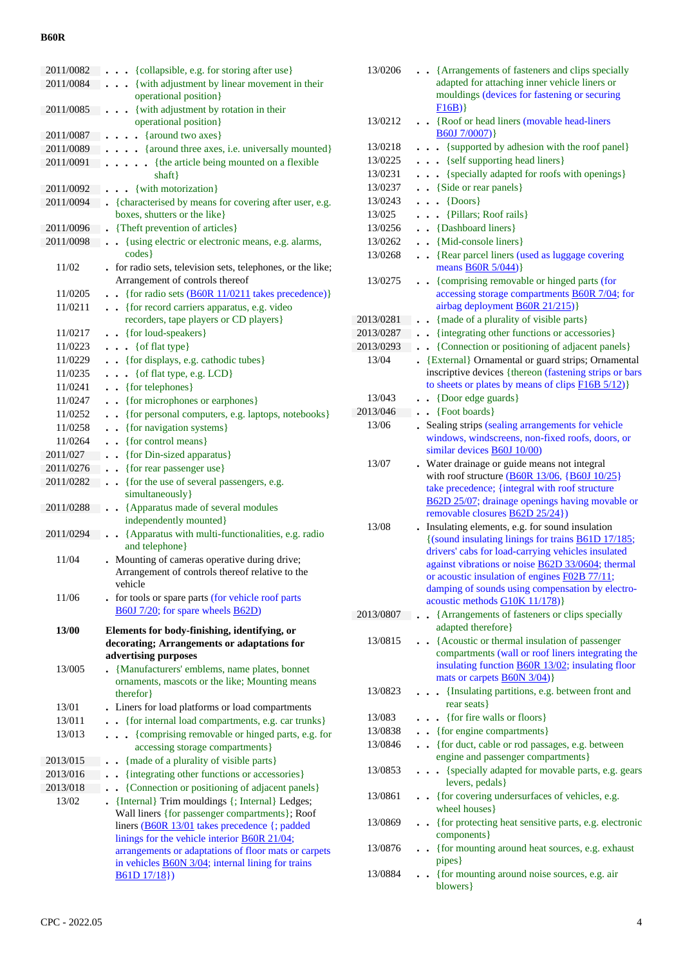| 2011/0082              | {collapsible, e.g. for storing after use}<br>$\ddot{\phantom{1}}$                                     |
|------------------------|-------------------------------------------------------------------------------------------------------|
| 2011/0084              | {with adjustment by linear movement in their                                                          |
|                        | operational position}                                                                                 |
| 2011/0085              | . { with adjustment by rotation in their                                                              |
|                        | operational position}                                                                                 |
| 2011/0087<br>2011/0089 | {around two axes}<br>$\sim$<br>$\ddot{\phantom{0}}$                                                   |
| 2011/0091              | {around three axes, i.e. universally mounted}<br>• {the article being mounted on a flexible           |
|                        | shaft}                                                                                                |
| 2011/0092              | {with motorization}<br>$\ddot{\phantom{0}}$                                                           |
| 2011/0094              | . {characterised by means for covering after user, e.g.                                               |
|                        | boxes, shutters or the like}                                                                          |
| 2011/0096              | {Theft prevention of articles}                                                                        |
| 2011/0098              | • {using electric or electronic means, e.g. alarms,                                                   |
|                        | codes }                                                                                               |
| 11/02                  | . for radio sets, television sets, telephones, or the like;                                           |
|                        | Arrangement of controls thereof                                                                       |
| 11/0205                | {for radio sets (B60R 11/0211 takes precedence)}<br>$\ddot{\phantom{a}}$                              |
| 11/0211                | {for record carriers apparatus, e.g. video<br>$\ddotsc$<br>recorders, tape players or CD players}     |
| 11/0217                | . . {for loud-speakers}                                                                               |
| 11/0223                | $\bullet$ $\bullet$ { of flat type}                                                                   |
| 11/0229                | • {for displays, e.g. cathodic tubes}                                                                 |
| 11/0235                | • { of flat type, e.g. LCD}                                                                           |
| 11/0241                | • {for telephones}                                                                                    |
| 11/0247                | {for microphones or earphones}                                                                        |
| 11/0252                | {for personal computers, e.g. laptops, notebooks}<br>$\ddot{\phantom{0}}$                             |
| 11/0258                | • {for navigation systems}                                                                            |
| 11/0264                | $\bullet$ {for control means}                                                                         |
| 2011/027               | {for Din-sized apparatus}                                                                             |
| 2011/0276              | • {for rear passenger use}                                                                            |
| 2011/0282              | {for the use of several passengers, e.g.<br>$\ddot{\phantom{a}}$                                      |
|                        | simultaneously}                                                                                       |
| 2011/0288              | . . {Apparatus made of several modules<br>independently mounted}                                      |
| 2011/0294              | • · {Apparatus with multi-functionalities, e.g. radio                                                 |
|                        | and telephone}                                                                                        |
| 11/04                  | Mounting of cameras operative during drive;                                                           |
|                        | Arrangement of controls thereof relative to the                                                       |
|                        | vehicle                                                                                               |
| 11/06                  | . for tools or spare parts (for vehicle roof parts                                                    |
|                        | B60J 7/20; for spare wheels B62D)                                                                     |
| 13/00                  | Elements for body-finishing, identifying, or                                                          |
|                        | decorating; Arrangements or adaptations for                                                           |
|                        | advertising purposes                                                                                  |
| 13/005                 | • {Manufacturers' emblems, name plates, bonnet                                                        |
|                        | ornaments, mascots or the like; Mounting means<br>therefor }                                          |
| 13/01                  | Liners for load platforms or load compartments                                                        |
| 13/011                 | . {for internal load compartments, e.g. car trunks}                                                   |
| 13/013                 | {comprising removable or hinged parts, e.g. for                                                       |
|                        | accessing storage compartments}                                                                       |
| 2013/015               | {made of a plurality of visible parts}<br>$\ddot{\phantom{0}}$                                        |
| 2013/016               | {integrating other functions or accessories}<br>$\ddot{\phantom{a}}$                                  |
| 2013/018               | {Connection or positioning of adjacent panels}<br>$\ddot{\phantom{0}}$                                |
| 13/02                  | . {Internal} Trim mouldings {; Internal} Ledges;                                                      |
|                        | Wall liners {for passenger compartments}; Roof                                                        |
|                        | liners (B60R 13/01 takes precedence {; padded<br>linings for the vehicle interior <b>B60R 21/04</b> ; |
|                        | arrangements or adaptations of floor mats or carpets                                                  |
|                        | in vehicles <b>B60N</b> 3/04; internal lining for trains                                              |
|                        | B61D17/18)                                                                                            |

| 13/0206   | • • {Arrangements of fasteners and clips specially<br>adapted for attaching inner vehicle liners or<br>mouldings (devices for fastening or securing<br>F16B) |
|-----------|--------------------------------------------------------------------------------------------------------------------------------------------------------------|
| 13/0212   | • {Roof or head liners (movable head-liners<br>B60J7/0007)                                                                                                   |
| 13/0218   | {supported by adhesion with the roof panel}<br>$\ddot{\phantom{0}}$                                                                                          |
| 13/0225   | . {self supporting head liners}                                                                                                                              |
| 13/0231   | {specially adapted for roofs with openings}<br>$\ddotsc$                                                                                                     |
| 13/0237   | . . {Side or rear panels}                                                                                                                                    |
| 13/0243   | $\{D$<br>$\sim$ $\sim$                                                                                                                                       |
| 13/025    | {Pillars; Roof rails}<br>$\ddot{\phantom{0}}$                                                                                                                |
| 13/0256   | . . {Dashboard liners}                                                                                                                                       |
| 13/0262   | • {Mid-console liners}                                                                                                                                       |
| 13/0268   |                                                                                                                                                              |
|           | • {Rear parcel liners (used as luggage covering<br>means <b>B60R</b> 5/044)}                                                                                 |
| 13/0275   | • {comprising removable or hinged parts (for<br>accessing storage compartments <b>B60R</b> 7/04; for<br>airbag deployment <b>B60R 21/215</b> )}              |
| 2013/0281 | {made of a plurality of visible parts}<br>$\bullet$                                                                                                          |
| 2013/0287 | {integrating other functions or accessories}<br>$\bullet$                                                                                                    |
| 2013/0293 | {Connection or positioning of adjacent panels}<br>$\ddot{\phantom{0}}$                                                                                       |
| 13/04     | {External} Ornamental or guard strips; Ornamental                                                                                                            |
|           | inscriptive devices {thereon (fastening strips or bars                                                                                                       |
|           | to sheets or plates by means of clips $F16B5/12$                                                                                                             |
| 13/043    | • {Door edge guards}                                                                                                                                         |
| 2013/046  | $\bullet$ {Foot boards}                                                                                                                                      |
| 13/06     | Sealing strips (sealing arrangements for vehicle                                                                                                             |
|           | windows, windscreens, non-fixed roofs, doors, or                                                                                                             |
|           | similar devices <b>B60J</b> 10/00)                                                                                                                           |
| 13/07     | . Water drainage or guide means not integral                                                                                                                 |
|           | with roof structure $(B60R 13/06, {B60J 10/25})$<br>take precedence; {integral with roof structure                                                           |
|           | B62D 25/07; drainage openings having movable or                                                                                                              |
|           | removable closures <b>B62D 25/24</b> })                                                                                                                      |
| 13/08     | Insulating elements, e.g. for sound insulation                                                                                                               |
|           | {(sound insulating linings for trains <b>B61D 17/185</b> ;                                                                                                   |
|           | drivers' cabs for load-carrying vehicles insulated                                                                                                           |
|           | against vibrations or noise <b>B62D 33/0604</b> ; thermal                                                                                                    |
|           | or acoustic insulation of engines F02B 77/11;                                                                                                                |
|           | damping of sounds using compensation by electro-                                                                                                             |
|           | acoustic methods G10K 11/178)}                                                                                                                               |
| 2013/0807 | {Arrangements of fasteners or clips specially                                                                                                                |
|           | adapted therefore}                                                                                                                                           |
| 13/0815   | • {Acoustic or thermal insulation of passenger                                                                                                               |
|           | compartments (wall or roof liners integrating the                                                                                                            |
|           | insulating function <b>B60R 13/02</b> ; insulating floor                                                                                                     |
|           | mats or carpets <b>B60N 3/04</b> )}                                                                                                                          |
| 13/0823   | {Insulating partitions, e.g. between front and                                                                                                               |
|           | rear seats }                                                                                                                                                 |
| 13/083    | • {for fire walls or floors}                                                                                                                                 |
| 13/0838   | • {for engine compartments}                                                                                                                                  |
| 13/0846   | • {for duct, cable or rod passages, e.g. between                                                                                                             |
|           | engine and passenger compartments}                                                                                                                           |
| 13/0853   | {specially adapted for movable parts, e.g. gears                                                                                                             |
|           | levers, pedals }                                                                                                                                             |
| 13/0861   | • {for covering undersurfaces of vehicles, e.g.                                                                                                              |
| 13/0869   | wheel houses }                                                                                                                                               |
|           | {for protecting heat sensitive parts, e.g. electronic<br>components }                                                                                        |
| 13/0876   | {for mounting around heat sources, e.g. exhaust                                                                                                              |
|           | pipes }                                                                                                                                                      |
| 13/0884   | {for mounting around noise sources, e.g. air                                                                                                                 |
|           | blowers }                                                                                                                                                    |
|           |                                                                                                                                                              |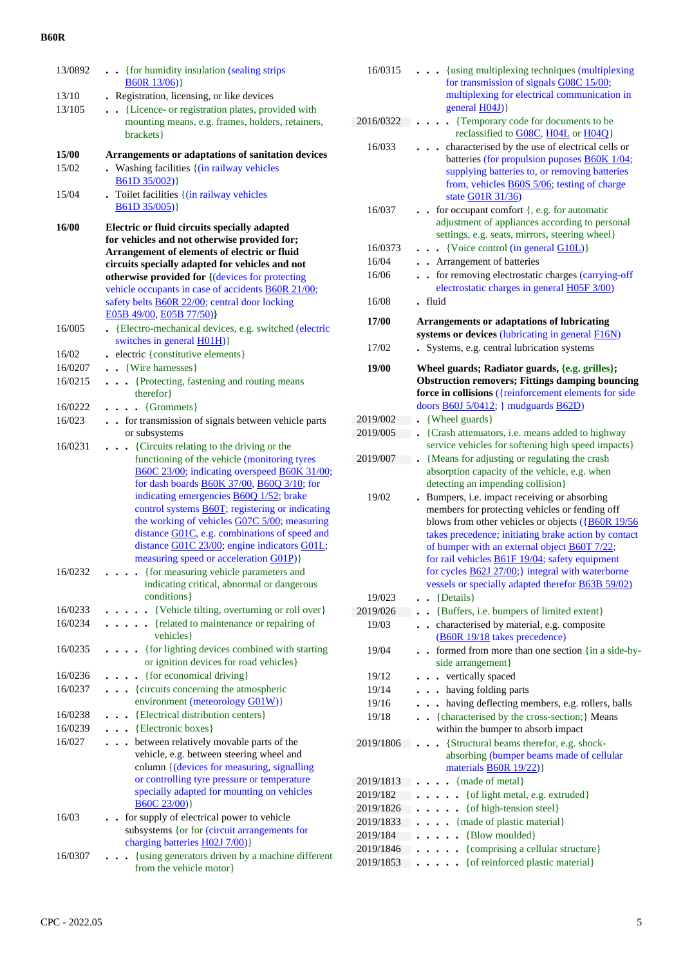| 13/0892      | . { for humidity insulation (sealing strips<br>$B60R$ 13/06)                                                                                                                                                                                                                                                                                                                                                                                                                                                                           |
|--------------|----------------------------------------------------------------------------------------------------------------------------------------------------------------------------------------------------------------------------------------------------------------------------------------------------------------------------------------------------------------------------------------------------------------------------------------------------------------------------------------------------------------------------------------|
| 13/10        | Registration, licensing, or like devices                                                                                                                                                                                                                                                                                                                                                                                                                                                                                               |
| 13/105       |                                                                                                                                                                                                                                                                                                                                                                                                                                                                                                                                        |
|              | {Licence- or registration plates, provided with<br>$\ddot{\phantom{a}}$<br>mounting means, e.g. frames, holders, retainers,<br>brackets}                                                                                                                                                                                                                                                                                                                                                                                               |
| <b>15/00</b> | Arrangements or adaptations of sanitation devices                                                                                                                                                                                                                                                                                                                                                                                                                                                                                      |
| 15/02        | . Washing facilities {(in railway vehicles<br>B61D 35/002)}                                                                                                                                                                                                                                                                                                                                                                                                                                                                            |
| 15/04        | . Toilet facilities {(in railway vehicles<br>B61D 35/005)                                                                                                                                                                                                                                                                                                                                                                                                                                                                              |
| <b>16/00</b> | Electric or fluid circuits specially adapted<br>for vehicles and not otherwise provided for;<br>Arrangement of elements of electric or fluid<br>circuits specially adapted for vehicles and not<br>otherwise provided for {(devices for protecting<br>vehicle occupants in case of accidents <b>B60R 21/00</b> ;<br>safety belts <b>B60R 22/00</b> ; central door locking<br>E05B 49/00, E05B 77/50)}                                                                                                                                  |
| 16/005       | · {Electro-mechanical devices, e.g. switched (electric<br>switches in general <b>H01H</b> )}                                                                                                                                                                                                                                                                                                                                                                                                                                           |
| 16/02        | electric {constitutive elements}                                                                                                                                                                                                                                                                                                                                                                                                                                                                                                       |
| 16/0207      | • {Wire harnesses}                                                                                                                                                                                                                                                                                                                                                                                                                                                                                                                     |
| 16/0215      | {Protecting, fastening and routing means<br>$\mathbf{r}$<br>therefor }                                                                                                                                                                                                                                                                                                                                                                                                                                                                 |
| 16/0222      | $\bullet$ $\bullet$ {Grommets}                                                                                                                                                                                                                                                                                                                                                                                                                                                                                                         |
| 16/023       | . . for transmission of signals between vehicle parts<br>or subsystems                                                                                                                                                                                                                                                                                                                                                                                                                                                                 |
| 16/0231      | {Circuits relating to the driving or the<br>$\ddot{\phantom{a}}$<br>functioning of the vehicle (monitoring tyres<br>B60C 23/00; indicating overspeed B60K 31/00;<br>for dash boards <b>B60K 37/00</b> , <b>B60Q 3/10</b> ; for<br>indicating emergencies <b>B60Q</b> 1/52; brake<br>control systems <b>B60T</b> ; registering or indicating<br>the working of vehicles G07C 5/00; measuring<br>distance G01C, e.g. combinations of speed and<br>distance G01C 23/00; engine indicators G01L;<br>measuring speed or acceleration G01P)} |
| 16/0232      | • {for measuring vehicle parameters and<br>indicating critical, abnormal or dangerous<br>conditions }                                                                                                                                                                                                                                                                                                                                                                                                                                  |
| 16/0233      | • {Vehicle tilting, overturning or roll over}                                                                                                                                                                                                                                                                                                                                                                                                                                                                                          |
| 16/0234      | $\cdots$ $\cdots$ {related to maintenance or repairing of<br>vehicles}                                                                                                                                                                                                                                                                                                                                                                                                                                                                 |
| 16/0235      | {for lighting devices combined with starting<br>or ignition devices for road vehicles}                                                                                                                                                                                                                                                                                                                                                                                                                                                 |
| 16/0236      | . {for economical driving}                                                                                                                                                                                                                                                                                                                                                                                                                                                                                                             |
| 16/0237      | {circuits concerning the atmospheric                                                                                                                                                                                                                                                                                                                                                                                                                                                                                                   |
|              | environment (meteorology G01W)}                                                                                                                                                                                                                                                                                                                                                                                                                                                                                                        |
| 16/0238      | {Electrical distribution centers}<br>$\bullet$                                                                                                                                                                                                                                                                                                                                                                                                                                                                                         |
| 16/0239      | . . {Electronic boxes}                                                                                                                                                                                                                                                                                                                                                                                                                                                                                                                 |
| 16/027       | between relatively movable parts of the<br>.<br>vehicle, e.g. between steering wheel and<br>column { (devices for measuring, signalling<br>or controlling tyre pressure or temperature<br>specially adapted for mounting on vehicles<br>B60C23/00)                                                                                                                                                                                                                                                                                     |
| 16/03        | • for supply of electrical power to vehicle<br>subsystems {or for (circuit arrangements for<br>charging batteries H02J 7/00)}                                                                                                                                                                                                                                                                                                                                                                                                          |
| 16/0307      | {using generators driven by a machine different<br>from the vehicle motor}                                                                                                                                                                                                                                                                                                                                                                                                                                                             |

| 16/0315   | {using multiplexing techniques (multiplexing)<br>for transmission of signals G08C 15/00;<br>multiplexing for electrical communication in<br>general $H(04J)$                                                                                                                                                                 |
|-----------|------------------------------------------------------------------------------------------------------------------------------------------------------------------------------------------------------------------------------------------------------------------------------------------------------------------------------|
| 2016/0322 | {Temporary code for documents to be                                                                                                                                                                                                                                                                                          |
| 16/033    | reclassified to G08C, H04L or H04Q}<br>characterised by the use of electrical cells or<br>batteries (for propulsion puposes <b>B60K</b> 1/04;<br>supplying batteries to, or removing batteries<br>from, vehicles <b>B60S</b> 5/06; testing of charge                                                                         |
| 16/037    | state G01R 31/36)<br>for occupant comfort {, e.g. for automatic<br>adjustment of appliances according to personal<br>settings, e.g. seats, mirrors, steering wheel}                                                                                                                                                          |
| 16/0373   | {Voice control (in general G10L)}<br>$\ddot{\phantom{a}}$                                                                                                                                                                                                                                                                    |
| 16/04     | Arrangement of batteries                                                                                                                                                                                                                                                                                                     |
| 16/06     | for removing electrostatic charges (carrying-off<br>electrostatic charges in general H05F 3/00)                                                                                                                                                                                                                              |
| 16/08     | fluid                                                                                                                                                                                                                                                                                                                        |
| 17/00     | <b>Arrangements or adaptations of lubricating</b><br>systems or devices (lubricating in general F16N)                                                                                                                                                                                                                        |
| 17/02     | Systems, e.g. central lubrication systems                                                                                                                                                                                                                                                                                    |
| 19/00     | Wheel guards; Radiator guards, {e.g. grilles};                                                                                                                                                                                                                                                                               |
|           | <b>Obstruction removers; Fittings damping bouncing</b>                                                                                                                                                                                                                                                                       |
|           | force in collisions ({reinforcement elements for side                                                                                                                                                                                                                                                                        |
|           | doors $\underline{B60J}$ 5/0412; } mudguards $\underline{B62D}$                                                                                                                                                                                                                                                              |
|           |                                                                                                                                                                                                                                                                                                                              |
| 2019/002  | {Wheel guards}                                                                                                                                                                                                                                                                                                               |
| 2019/005  | {Crash attenuators, i.e. means added to highway<br>$\ddot{\phantom{0}}$<br>service vehicles for softening high speed impacts}                                                                                                                                                                                                |
| 2019/007  | {Means for adjusting or regulating the crash                                                                                                                                                                                                                                                                                 |
|           | absorption capacity of the vehicle, e.g. when<br>detecting an impending collision}                                                                                                                                                                                                                                           |
| 19/02     | Bumpers, i.e. impact receiving or absorbing<br>members for protecting vehicles or fending off<br>blows from other vehicles or objects ({B60R 19/56}<br>takes precedence; initiating brake action by contact<br>of bumper with an external object <b>B60T</b> 7/22;<br>for rail vehicles <b>B61F 19/04</b> ; safety equipment |
|           | for cycles <b>B62J 27/00</b> ;} integral with waterborne<br>vessels or specially adapted therefor <b>B63B 59/02</b> )                                                                                                                                                                                                        |
| 19/023    | {Details}                                                                                                                                                                                                                                                                                                                    |
| 2019/026  | {Buffers, i.e. bumpers of limited extent}<br>$\bullet$                                                                                                                                                                                                                                                                       |
| 19/03     |                                                                                                                                                                                                                                                                                                                              |
|           | characterised by material, e.g. composite<br>$\bullet$                                                                                                                                                                                                                                                                       |
| 19/04     | (B60R 19/18 takes precedence)<br>formed from more than one section {in a side-by-                                                                                                                                                                                                                                            |
|           | side arrangement}                                                                                                                                                                                                                                                                                                            |
| 19/12     | - vertically spaced                                                                                                                                                                                                                                                                                                          |
| 19/14     | . having folding parts                                                                                                                                                                                                                                                                                                       |
| 19/16     |                                                                                                                                                                                                                                                                                                                              |
| 19/18     | having deflecting members, e.g. rollers, balls                                                                                                                                                                                                                                                                               |
|           | . {characterised by the cross-section;} Means<br>within the bumper to absorb impact                                                                                                                                                                                                                                          |
| 2019/1806 | {Structural beams therefor, e.g. shock-<br>$\ddot{\phantom{a}}$<br>absorbing (bumper beams made of cellular                                                                                                                                                                                                                  |
|           | materials <b>B60R</b> 19/22)}                                                                                                                                                                                                                                                                                                |
| 2019/1813 | {made of metal}                                                                                                                                                                                                                                                                                                              |
| 2019/182  | • { of light metal, e.g. extruded }                                                                                                                                                                                                                                                                                          |
| 2019/1826 | {of high-tension steel}<br>$\ddot{\phantom{a}}$                                                                                                                                                                                                                                                                              |
| 2019/1833 | {made of plastic material}                                                                                                                                                                                                                                                                                                   |
| 2019/184  | {Blow moulded}                                                                                                                                                                                                                                                                                                               |
| 2019/1846 | $\ddot{\phantom{0}}$                                                                                                                                                                                                                                                                                                         |
| 2019/1853 | {comprising a cellular structure}<br>{of reinforced plastic material}                                                                                                                                                                                                                                                        |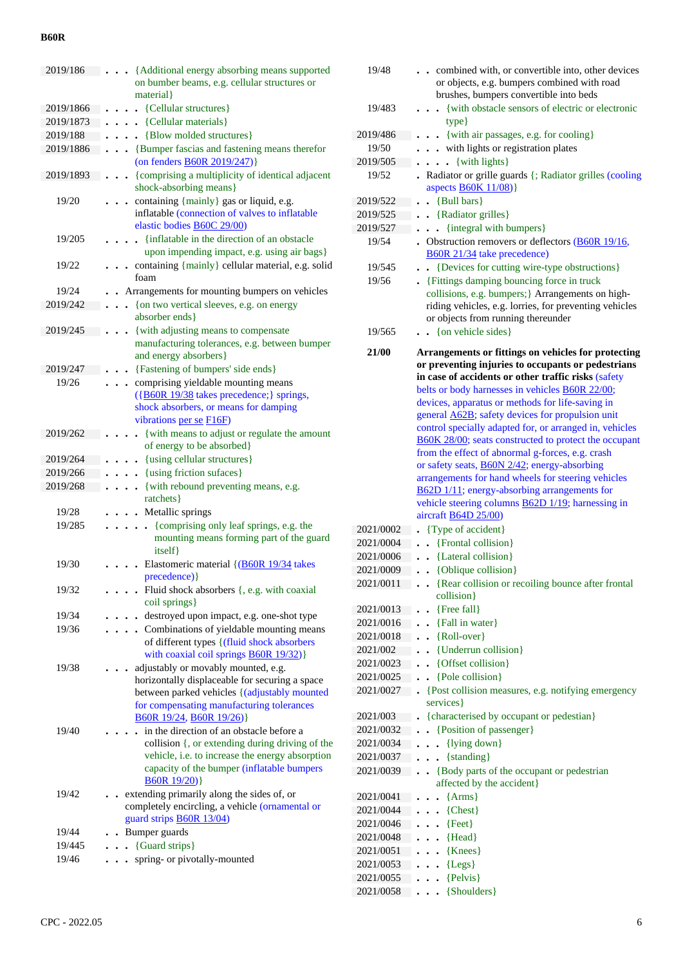| 2019/186  | {Additional energy absorbing means supported<br>on bumber beams, e.g. cellular structures or<br>material }                     |
|-----------|--------------------------------------------------------------------------------------------------------------------------------|
| 2019/1866 | • {Cellular structures}                                                                                                        |
| 2019/1873 | {Cellular materials}                                                                                                           |
| 2019/188  | {Blow molded structures}                                                                                                       |
| 2019/1886 | {Bumper fascias and fastening means therefor<br>$\ddot{\phantom{a}}$                                                           |
|           | (on fenders B60R 2019/247)}                                                                                                    |
| 2019/1893 | • {comprising a multiplicity of identical adjacent<br>shock-absorbing means}                                                   |
| 19/20     | containing {mainly} gas or liquid, e.g.<br>inflatable (connection of valves to inflatable<br>elastic bodies <b>B60C</b> 29/00) |
| 19/205    | {inflatable in the direction of an obstacle<br>upon impending impact, e.g. using air bags}                                     |
| 19/22     | containing {mainly} cellular material, e.g. solid<br>foam                                                                      |
| 19/24     | Arrangements for mounting bumpers on vehicles                                                                                  |
|           |                                                                                                                                |
| 2019/242  | {on two vertical sleeves, e.g. on energy<br>$\cdot$<br>absorber ends }                                                         |
| 2019/245  | {with adjusting means to compensate                                                                                            |
|           | manufacturing tolerances, e.g. between bumper<br>and energy absorbers}                                                         |
| 2019/247  | {Fastening of bumpers' side ends}                                                                                              |
| 19/26     | comprising yieldable mounting means                                                                                            |
|           | ({B60R 19/38 takes precedence;} springs,<br>shock absorbers, or means for damping<br>vibrations per se F16F)                   |
| 2019/262  | {with means to adjust or regulate the amount<br>of energy to be absorbed}                                                      |
| 2019/264  | {using cellular structures}                                                                                                    |
| 2019/266  | {using friction sufaces}                                                                                                       |
| 2019/268  | {with rebound preventing means, e.g.                                                                                           |
|           | ratchets }                                                                                                                     |
| 19/28     | Metallic springs                                                                                                               |
| 19/285    | {comprising only leaf springs, e.g. the<br>$\ddot{\phantom{a}}$<br>mounting means forming part of the guard<br>itself }        |
| 19/30     | Elastomeric material {(B60R 19/34 takes<br>precedence) }                                                                       |
| 19/32     | Fluid shock absorbers {, e.g. with coaxial<br>coil springs}                                                                    |
| 19/34     | destroyed upon impact, e.g. one-shot type                                                                                      |
| 19/36     | Combinations of yieldable mounting means                                                                                       |
|           | of different types {(fluid shock absorbers<br>with coaxial coil springs <b>B60R 19/32</b> )}                                   |
| 19/38     | adjustably or movably mounted, e.g.                                                                                            |
|           | horizontally displaceable for securing a space                                                                                 |
|           | between parked vehicles {(adjustably mounted                                                                                   |
|           | for compensating manufacturing tolerances                                                                                      |
|           | B60R 19/24, B60R 19/26)}                                                                                                       |
| 19/40     | in the direction of an obstacle before a                                                                                       |
|           | collision {, or extending during driving of the                                                                                |
|           | vehicle, i.e. to increase the energy absorption                                                                                |
|           | capacity of the bumper (inflatable bumpers<br>B60R19/20)                                                                       |
| 19/42     | extending primarily along the sides of, or                                                                                     |
|           | completely encircling, a vehicle (ornamental or<br>guard strips <b>B60R 13/04</b> )                                            |
| 19/44     | Bumper guards                                                                                                                  |
| 19/445    | {Guard strips}                                                                                                                 |
| 19/46     | spring- or pivotally-mounted                                                                                                   |
|           |                                                                                                                                |
|           |                                                                                                                                |

| 19/48                  | combined with, or convertible into, other devices<br>or objects, e.g. bumpers combined with road<br>brushes, bumpers convertible into beds                                                                                                                                                                                                                                                                                                         |
|------------------------|----------------------------------------------------------------------------------------------------------------------------------------------------------------------------------------------------------------------------------------------------------------------------------------------------------------------------------------------------------------------------------------------------------------------------------------------------|
| 19/483                 | {with obstacle sensors of electric or electronic<br>type}                                                                                                                                                                                                                                                                                                                                                                                          |
| 2019/486               | {with air passages, e.g. for cooling}                                                                                                                                                                                                                                                                                                                                                                                                              |
| 19/50                  | with lights or registration plates                                                                                                                                                                                                                                                                                                                                                                                                                 |
| 2019/505               | {with lights}<br>.                                                                                                                                                                                                                                                                                                                                                                                                                                 |
| 19/52                  | Radiator or grille guards {; Radiator grilles (cooling<br>aspects <b>B60K 11/08</b> )}                                                                                                                                                                                                                                                                                                                                                             |
| 2019/522               | {Bull bars}                                                                                                                                                                                                                                                                                                                                                                                                                                        |
| 2019/525               | • {Radiator grilles}                                                                                                                                                                                                                                                                                                                                                                                                                               |
| 2019/527               | {integral with bumpers}                                                                                                                                                                                                                                                                                                                                                                                                                            |
| 19/54                  | . Obstruction removers or deflectors $(B60R 19/16,$<br>B60R 21/34 take precedence)                                                                                                                                                                                                                                                                                                                                                                 |
| 19/545                 | {Devices for cutting wire-type obstructions}                                                                                                                                                                                                                                                                                                                                                                                                       |
| 19/56                  | • {Fittings damping bouncing force in truck<br>collisions, e.g. bumpers; } Arrangements on high-<br>riding vehicles, e.g. lorries, for preventing vehicles<br>or objects from running thereunder                                                                                                                                                                                                                                                   |
| 19/565                 | . . {on vehicle sides}                                                                                                                                                                                                                                                                                                                                                                                                                             |
| 21/00                  | Arrangements or fittings on vehicles for protecting<br>or preventing injuries to occupants or pedestrians<br>in case of accidents or other traffic risks (safety<br>belts or body harnesses in vehicles B60R 22/00;                                                                                                                                                                                                                                |
|                        | devices, apparatus or methods for life-saving in<br>general <b>A62B</b> ; safety devices for propulsion unit<br>control specially adapted for, or arranged in, vehicles<br>B60K 28/00; seats constructed to protect the occupant<br>from the effect of abnormal g-forces, e.g. crash<br>or safety seats, <b>B60N 2/42</b> ; energy-absorbing<br>arrangements for hand wheels for steering vehicles<br>B62D 1/11; energy-absorbing arrangements for |
|                        | vehicle steering columns <b>B62D</b> 1/19; harnessing in<br>aircraft $B64D 25/00$                                                                                                                                                                                                                                                                                                                                                                  |
| 2021/0002              | {Type of accident}                                                                                                                                                                                                                                                                                                                                                                                                                                 |
| 2021/0004              | {Frontal collision}                                                                                                                                                                                                                                                                                                                                                                                                                                |
| 2021/0006              | {Lateral collision}                                                                                                                                                                                                                                                                                                                                                                                                                                |
| 2021/0009              |                                                                                                                                                                                                                                                                                                                                                                                                                                                    |
|                        | {Oblique collision}                                                                                                                                                                                                                                                                                                                                                                                                                                |
| 2021/0011              | {Rear collision or recoiling bounce after frontal<br>collision}                                                                                                                                                                                                                                                                                                                                                                                    |
| 2021/0013              | {Free fall}                                                                                                                                                                                                                                                                                                                                                                                                                                        |
| 2021/0016              | {Fall in water}                                                                                                                                                                                                                                                                                                                                                                                                                                    |
| 2021/0018              | {Roll-over}                                                                                                                                                                                                                                                                                                                                                                                                                                        |
| 2021/002               | {Underrun collision}                                                                                                                                                                                                                                                                                                                                                                                                                               |
| 2021/0023              | {Offset collision}<br>$\ddot{\phantom{0}}$                                                                                                                                                                                                                                                                                                                                                                                                         |
| 2021/0025              | {Pole collision}<br>$\ddot{\phantom{0}}$                                                                                                                                                                                                                                                                                                                                                                                                           |
| 2021/0027              | {Post collision measures, e.g. notifying emergency<br>services }                                                                                                                                                                                                                                                                                                                                                                                   |
| 2021/003               | {characterised by occupant or pedestian}                                                                                                                                                                                                                                                                                                                                                                                                           |
| 2021/0032              | {Position of passenger}                                                                                                                                                                                                                                                                                                                                                                                                                            |
| 2021/0034              | {lying down}                                                                                                                                                                                                                                                                                                                                                                                                                                       |
| 2021/0037              | {standing}                                                                                                                                                                                                                                                                                                                                                                                                                                         |
| 2021/0039              | {Body parts of the occupant or pedestrian                                                                                                                                                                                                                                                                                                                                                                                                          |
| 2021/0041              | affected by the accident}<br>${Arms}$                                                                                                                                                                                                                                                                                                                                                                                                              |
| 2021/0044              | ${Check}$<br>$\ddot{\phantom{a}}$                                                                                                                                                                                                                                                                                                                                                                                                                  |
| 2021/0046              | ${Feet}$<br>$\ddot{\phantom{0}}$                                                                                                                                                                                                                                                                                                                                                                                                                   |
| 2021/0048              | ${Head}$<br>$\ddot{\phantom{a}}$                                                                                                                                                                                                                                                                                                                                                                                                                   |
|                        | $\ddot{\phantom{0}}$                                                                                                                                                                                                                                                                                                                                                                                                                               |
| 2021/0051              | {Knees}<br>$\ddot{\phantom{0}}$                                                                                                                                                                                                                                                                                                                                                                                                                    |
| 2021/0053              | ${Legs}$<br>$\ddot{\phantom{1}}$<br>$\ddot{\phantom{0}}$                                                                                                                                                                                                                                                                                                                                                                                           |
| 2021/0055<br>2021/0058 | {Pelvis}<br>{Shoulders}                                                                                                                                                                                                                                                                                                                                                                                                                            |
|                        |                                                                                                                                                                                                                                                                                                                                                                                                                                                    |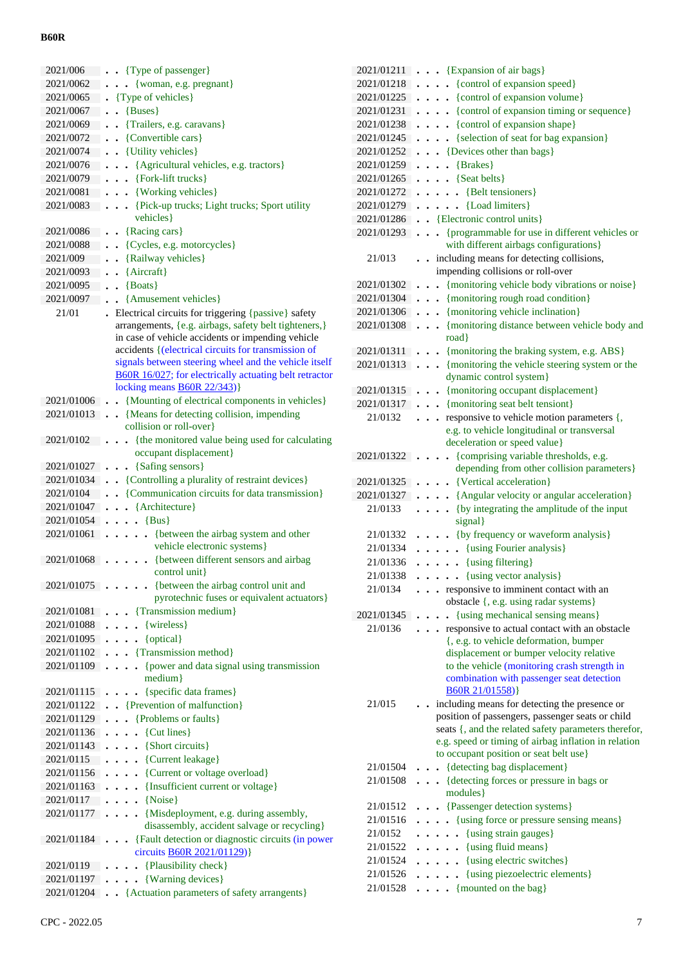| 2021/006     | . Type of passenger}                                                                                                                                                                                                                                            |
|--------------|-----------------------------------------------------------------------------------------------------------------------------------------------------------------------------------------------------------------------------------------------------------------|
| 2021/0062    | {woman, e.g. pregnant}<br>$\ddot{\phantom{0}}$                                                                                                                                                                                                                  |
| 2021/0065    | . {Type of vehicles}                                                                                                                                                                                                                                            |
| 2021/0067    | {Buses}<br>$\ddot{\phantom{0}}$                                                                                                                                                                                                                                 |
| 2021/0069    | {Trailers, e.g. caravans}                                                                                                                                                                                                                                       |
| 2021/0072    | {Convertible cars}                                                                                                                                                                                                                                              |
| 2021/0074    | . . {Utility vehicles}                                                                                                                                                                                                                                          |
| 2021/0076    | {Agricultural vehicles, e.g. tractors}<br>$\ddot{\phantom{0}}$                                                                                                                                                                                                  |
| 2021/0079    | $\bullet$ $\bullet$ {Fork-lift trucks}                                                                                                                                                                                                                          |
| 2021/0081    | $\cdots$ {Working vehicles}                                                                                                                                                                                                                                     |
| 2021/0083    | . {Pick-up trucks; Light trucks; Sport utility                                                                                                                                                                                                                  |
|              | vehicles}                                                                                                                                                                                                                                                       |
| 2021/0086    | {Racing cars}                                                                                                                                                                                                                                                   |
| 2021/0088    | {Cycles, e.g. motorcycles}<br>$\ddot{\phantom{1}}$                                                                                                                                                                                                              |
| 2021/009     | {Railway vehicles}                                                                                                                                                                                                                                              |
| 2021/0093    | {Aircraft}                                                                                                                                                                                                                                                      |
| 2021/0095    | ${$ Boats $}$<br>$\ddot{\phantom{a}}$                                                                                                                                                                                                                           |
| 2021/0097    | {Amusement vehicles}                                                                                                                                                                                                                                            |
| 21/01        | . Electrical circuits for triggering {passive} safety                                                                                                                                                                                                           |
|              | arrangements, {e.g. airbags, safety belt tighteners,}                                                                                                                                                                                                           |
|              | in case of vehicle accidents or impending vehicle<br>accidents { (electrical circuits for transmission of<br>signals between steering wheel and the vehicle itself<br>B60R 16/027; for electrically actuating belt retractor<br>locking means $B60R$ $22/343$ } |
|              | 2021/01006 . {Mounting of electrical components in vehicles}                                                                                                                                                                                                    |
|              | 2021/01013 . {Means for detecting collision, impending                                                                                                                                                                                                          |
|              | collision or roll-over}                                                                                                                                                                                                                                         |
| 2021/0102    | {the monitored value being used for calculating<br>$\ddot{\phantom{0}}$                                                                                                                                                                                         |
|              | occupant displacement}                                                                                                                                                                                                                                          |
| 2021/01027   | . . {Safing sensors}                                                                                                                                                                                                                                            |
| 2021/01034   | . . {Controlling a plurality of restraint devices}                                                                                                                                                                                                              |
| 2021/0104    | {Communication circuits for data transmission}<br>$\ddot{\phantom{0}}$                                                                                                                                                                                          |
| 2021/01047   | $\cdot$ {Architecture}<br>$\ddot{\phantom{0}}$                                                                                                                                                                                                                  |
| 2021/01054   | $\ldots$ {Bus}                                                                                                                                                                                                                                                  |
| 2021/01061   | {between the airbag system and other<br>$\ddot{\phantom{a}}$<br>$\ddot{\phantom{0}}$                                                                                                                                                                            |
|              | vehicle electronic systems}                                                                                                                                                                                                                                     |
| 2021/01068   | {between different sensors and airbag                                                                                                                                                                                                                           |
|              | control unit}                                                                                                                                                                                                                                                   |
|              | 2021/01075 {between the airbag control unit and<br>pyrotechnic fuses or equivalent actuators}                                                                                                                                                                   |
| 2021/01081 . | . Transmission medium}                                                                                                                                                                                                                                          |
| 2021/01088   | $\bullet$ {wireless}<br>$\ddotsc$                                                                                                                                                                                                                               |
| 2021/01095   | $\ldots$ {optical}                                                                                                                                                                                                                                              |
| 2021/01102   | . {Transmission method}                                                                                                                                                                                                                                         |
| 2021/01109   | {power and data signal using transmission<br>$\cdots$                                                                                                                                                                                                           |
|              | medium}                                                                                                                                                                                                                                                         |
| 2021/01115   | {specific data frames}                                                                                                                                                                                                                                          |
| 2021/01122   | . Prevention of malfunction }                                                                                                                                                                                                                                   |
| 2021/01129   | • {Problems or faults}<br>$\ddot{\phantom{a}}$                                                                                                                                                                                                                  |
| 2021/01136   | $\cdot$ {Cut lines}<br>$\ddot{\phantom{0}}$                                                                                                                                                                                                                     |
| 2021/01143   | {Short circuits}<br>$\cdot$                                                                                                                                                                                                                                     |
| 2021/0115    | . {Current leakage}                                                                                                                                                                                                                                             |
| 2021/01156   | . {Current or voltage overload}                                                                                                                                                                                                                                 |
| 2021/01163   | . {Insufficient current or voltage}                                                                                                                                                                                                                             |
| 2021/0117    | $\ldots$ {Noise}                                                                                                                                                                                                                                                |
| 2021/01177   | {Misdeployment, e.g. during assembly,<br>disassembly, accident salvage or recycling}                                                                                                                                                                            |
| 2021/01184 . | • {Fault detection or diagnostic circuits (in power<br>circuits <b>B60R 2021/01129</b> )}                                                                                                                                                                       |
| 2021/0119    | {Plausibility check}<br>.                                                                                                                                                                                                                                       |
| 2021/01197   | . {Warning devices}                                                                                                                                                                                                                                             |
|              | 2021/01204 . {Actuation parameters of safety arrangents}                                                                                                                                                                                                        |
|              |                                                                                                                                                                                                                                                                 |

| 2021/01211           | {Expansion of air bags}<br>$\ddotsc$                                                          |
|----------------------|-----------------------------------------------------------------------------------------------|
| 2021/01218           | {control of expansion speed}                                                                  |
| 2021/01225           | {control of expansion volume}<br>$\ddot{\phantom{0}}$                                         |
| 2021/01231           | {control of expansion timing or sequence}<br>$\ddot{\phantom{0}}$<br>$\cdot$                  |
| 2021/01238           | {control of expansion shape}<br>$\bullet$                                                     |
| 2021/01245           | {selection of seat for bag expansion}                                                         |
| 2021/01252           | {Devices other than bags}                                                                     |
| 2021/01259           | {Brakes}<br>$\ddot{\phantom{0}}$                                                              |
| 2021/01265           | {Seat belts}<br>$\ddot{\phantom{0}}$                                                          |
| 2021/01272           | • {Belt tensioners}                                                                           |
| 2021/01279           | {Load limiters}                                                                               |
| 2021/01286           | . . {Electronic control units}                                                                |
| 2021/01293           | • {programmable for use in different vehicles or                                              |
|                      | with different airbags configurations}                                                        |
| 21/013               | including means for detecting collisions,                                                     |
|                      | impending collisions or roll-over                                                             |
| 2021/01302           | {monitoring vehicle body vibrations or noise}<br>$\ddot{\phantom{0}}$<br>$\ddot{\phantom{0}}$ |
| 2021/01304           | {monitoring rough road condition}<br>$\ddot{\phantom{0}}$                                     |
| 2021/01306           | {monitoring vehicle inclination}<br>$\ddot{\phantom{0}}$                                      |
| 2021/01308           | {monitoring distance between vehicle body and<br>$\ddot{\phantom{0}}$                         |
|                      | road}                                                                                         |
| 2021/01311           | {monitoring the braking system, e.g. ABS}                                                     |
| 2021/01313           | {monitoring the vehicle steering system or the                                                |
|                      | dynamic control system}                                                                       |
| 2021/01315           | {monitoring occupant displacement}                                                            |
| 2021/01317           | {monitoring seat belt tensiont}                                                               |
| 21/0132              | responsive to vehicle motion parameters {,                                                    |
|                      | e.g. to vehicle longitudinal or transversal                                                   |
|                      | deceleration or speed value}                                                                  |
| 2021/01322           | {comprising variable thresholds, e.g.                                                         |
|                      | depending from other collision parameters}                                                    |
| 2021/01325           | {Vertical acceleration}                                                                       |
| 2021/01327           | {Angular velocity or angular acceleration}                                                    |
| 21/0133              | {by integrating the amplitude of the input                                                    |
|                      | signal}                                                                                       |
| 21/01332             | {by frequency or waveform analysis}                                                           |
| 21/01334             | {using Fourier analysis}<br>$\ddot{\phantom{a}}$                                              |
| 21/01336             | $\cdots$ (using filtering)                                                                    |
| 21/01338             | {using vector analysis}                                                                       |
| 21/0134              | . responsive to imminent contact with an                                                      |
|                      | obstacle {, e.g. using radar systems}                                                         |
| 2021/01345           | {using mechanical sensing means}<br>$\ddot{\phantom{0}}$                                      |
| 21/0136              | responsive to actual contact with an obstacle<br>.                                            |
|                      | {, e.g. to vehicle deformation, bumper<br>displacement or bumper velocity relative            |
|                      | to the vehicle (monitoring crash strength in                                                  |
|                      | combination with passenger seat detection                                                     |
|                      | B60R 21/01558)}                                                                               |
| 21/015               | including means for detecting the presence or                                                 |
|                      | position of passengers, passenger seats or child                                              |
|                      | seats {, and the related safety parameters therefor,                                          |
|                      | e.g. speed or timing of airbag inflation in relation                                          |
|                      | to occupant position or seat belt use}                                                        |
| 21/01504             | {detecting bag displacement}<br>$\ddot{\phantom{a}}$                                          |
| 21/01508             | {detecting forces or pressure in bags or<br>.                                                 |
|                      | modules }                                                                                     |
| 21/01512             | {Passenger detection systems}<br>$\ddot{\phantom{0}}$                                         |
| 21/01516             | {using force or pressure sensing means}<br>$\cdots$                                           |
| 21/0152              | • {using strain gauges}<br>$\cdots$                                                           |
| 21/01522             | $\ldots$ (using fluid means)                                                                  |
| 21/01524             | . {using electric switches}                                                                   |
|                      |                                                                                               |
| 21/01526<br>21/01528 | {using piezoelectric elements}<br>$\ddot{\phantom{0}}$<br>$\ldots$ (mounted on the bag)       |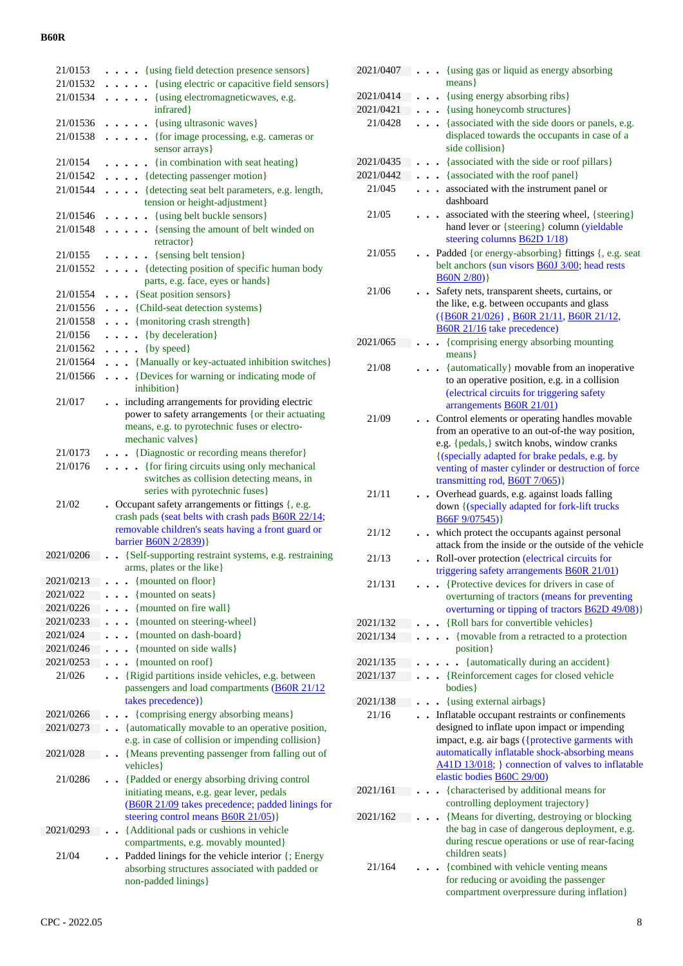| 21/0153                | . {using field detection presence sensors}                                                            |
|------------------------|-------------------------------------------------------------------------------------------------------|
| 21/01532               | {using electric or capacitive field sensors}                                                          |
| 21/01534               | $\ldots$ $\ldots$ {using electromagnetic waves, e.g.                                                  |
|                        | infrared}                                                                                             |
| 21/01536               | . {using ultrasonic waves}                                                                            |
| 21/01538               | $\ldots$ . {for image processing, e.g. cameras or                                                     |
|                        | sensor arrays}                                                                                        |
| 21/0154<br>21/01542    | . {in combination with seat heating}                                                                  |
| 21/01544               | . {detecting passenger motion}<br>. {detecting seat belt parameters, e.g. length,                     |
|                        | tension or height-adjustment}                                                                         |
| 21/01546               | . {using belt buckle sensors}                                                                         |
| 21/01548               | . {sensing the amount of belt winded on                                                               |
|                        | retractor                                                                                             |
| 21/0155                | $\ldots$ {sensing belt tension}                                                                       |
| 21/01552               | . {detecting position of specific human body                                                          |
|                        | parts, e.g. face, eyes or hands}                                                                      |
| 21/01554               | {Seat position sensors}                                                                               |
| 21/01556               | . {Child-seat detection systems}                                                                      |
| 21/01558               | . {monitoring crash strength}                                                                         |
| 21/0156                | $\ldots$ {by deceleration}                                                                            |
| 21/01562               | $\ldots$ {by speed}                                                                                   |
| 21/01564               | . {Manually or key-actuated inhibition switches}                                                      |
| 21/01566               | {Devices for warning or indicating mode of<br>inhibition}                                             |
| 21/017                 | . . including arrangements for providing electric                                                     |
|                        | power to safety arrangements {or their actuating                                                      |
|                        | means, e.g. to pyrotechnic fuses or electro-                                                          |
|                        | mechanic valves}                                                                                      |
| 21/0173                | {Diagnostic or recording means therefor}<br>$\ddotsc$                                                 |
| 21/0176                | {for firing circuits using only mechanical                                                            |
|                        | switches as collision detecting means, in                                                             |
|                        | series with pyrotechnic fuses}                                                                        |
| 21/02                  | • Occupant safety arrangements or fittings {, e.g.                                                    |
|                        |                                                                                                       |
|                        | crash pads (seat belts with crash pads B60R 22/14;                                                    |
|                        | removable children's seats having a front guard or                                                    |
| 2021/0206              | barrier <b>B60N 2/2839</b> )}                                                                         |
|                        | {Self-supporting restraint systems, e.g. restraining<br>arms, plates or the like}                     |
| 2021/0213              | {mounted on floor}                                                                                    |
| 2021/022               | {mounted on seats}                                                                                    |
| 2021/0226              | {mounted on fire wall}                                                                                |
| 2021/0233              | {mounted on steering-wheel}                                                                           |
| 2021/024               | {mounted on dash-board}                                                                               |
| 2021/0246              | {mounted on side walls}                                                                               |
| 2021/0253              | {mounted on roof}                                                                                     |
| 21/026                 | {Rigid partitions inside vehicles, e.g. between                                                       |
|                        | passengers and load compartments (B60R 21/12                                                          |
|                        | takes precedence) }                                                                                   |
| 2021/0266<br>2021/0273 | {comprising energy absorbing means}                                                                   |
|                        | {automatically movable to an operative position,<br>e.g. in case of collision or impending collision} |
| 2021/028               | {Means preventing passenger from falling out of                                                       |
|                        | vehicles}                                                                                             |
| 21/0286                | {Padded or energy absorbing driving control                                                           |
|                        | initiating means, e.g. gear lever, pedals                                                             |
|                        | (B60R 21/09 takes precedence; padded linings for                                                      |
|                        | steering control means <b>B60R 21/05</b> )}                                                           |
| 2021/0293              | {Additional pads or cushions in vehicle                                                               |
|                        | compartments, e.g. movably mounted}                                                                   |
| 21/04                  | Padded linings for the vehicle interior {; Energy<br>absorbing structures associated with padded or   |
|                        | non-padded linings}                                                                                   |

| 2021/0407 | {using gas or liquid as energy absorbing<br>$\ddot{\phantom{0}}$<br>means }                                                                                                                                                                                                                     |
|-----------|-------------------------------------------------------------------------------------------------------------------------------------------------------------------------------------------------------------------------------------------------------------------------------------------------|
| 2021/0414 | {using energy absorbing ribs}                                                                                                                                                                                                                                                                   |
| 2021/0421 | {using honeycomb structures}                                                                                                                                                                                                                                                                    |
| 21/0428   | {associated with the side doors or panels, e.g.                                                                                                                                                                                                                                                 |
|           | displaced towards the occupants in case of a<br>side collision}                                                                                                                                                                                                                                 |
| 2021/0435 | {associated with the side or roof pillars}                                                                                                                                                                                                                                                      |
| 2021/0442 | {associated with the roof panel}<br>$\bullet$                                                                                                                                                                                                                                                   |
| 21/045    | associated with the instrument panel or<br>$\ddot{\phantom{0}}$<br>dashboard                                                                                                                                                                                                                    |
| 21/05     | associated with the steering wheel, {steering}<br>hand lever or {steering} column (yieldable<br>steering columns B62D 1/18)                                                                                                                                                                     |
| 21/055    | Padded {or energy-absorbing} fittings {, e.g. seat<br>belt anchors (sun visors <b>B60J</b> 3/00; head rests<br>$B60N 2/80$ }                                                                                                                                                                    |
| 21/06     | Safety nets, transparent sheets, curtains, or<br>the like, e.g. between occupants and glass<br>({B60R 21/026}, B60R 21/11, B60R 21/12,<br>B60R 21/16 take precedence)                                                                                                                           |
| 2021/065  | {comprising energy absorbing mounting<br>$\ddot{\phantom{0}}$<br>means }                                                                                                                                                                                                                        |
| 21/08     | {automatically} movable from an inoperative<br>to an operative position, e.g. in a collision<br>(electrical circuits for triggering safety<br>arrangements <b>B60R 21/01</b> )                                                                                                                  |
| 21/09     | Control elements or operating handles movable<br>from an operative to an out-of-the way position,<br>e.g. {pedals,} switch knobs, window cranks<br>{(specially adapted for brake pedals, e.g. by<br>venting of master cylinder or destruction of force<br>transmitting rod, <b>B60T</b> 7/065)} |
| 21/11     | Overhead guards, e.g. against loads falling<br>down {(specially adapted for fork-lift trucks<br>B66F9/07545)                                                                                                                                                                                    |
| 21/12     | which protect the occupants against personal<br>attack from the inside or the outside of the vehicle                                                                                                                                                                                            |
| 21/13     | Roll-over protection (electrical circuits for<br>triggering safety arrangements <b>B60R 21/01</b> )                                                                                                                                                                                             |
| 21/131    | {Protective devices for drivers in case of<br>overturning of tractors (means for preventing<br>overturning or tipping of tractors <b>B62D 49/08</b> )}                                                                                                                                          |
| 2021/132  | {Roll bars for convertible vehicles}                                                                                                                                                                                                                                                            |
| 2021/134  | {movable from a retracted to a protection<br>$\ddot{\phantom{0}}$<br>position }                                                                                                                                                                                                                 |
| 2021/135  | {automatically during an accident}<br>$\ddot{\phantom{0}}$                                                                                                                                                                                                                                      |
| 2021/137  | {Reinforcement cages for closed vehicle<br>$\bullet$<br>bodies }                                                                                                                                                                                                                                |
| 2021/138  | {using external airbags}                                                                                                                                                                                                                                                                        |
| 21/16     | Inflatable occupant restraints or confinements<br>designed to inflate upon impact or impending<br>impact, e.g. air bags ({protective garments with<br>automatically inflatable shock-absorbing means<br>A41D 13/018; } connection of valves to inflatable<br>elastic bodies B60C 29/00)         |
| 2021/161  | {characterised by additional means for                                                                                                                                                                                                                                                          |
| 2021/162  | controlling deployment trajectory}<br>{Means for diverting, destroying or blocking<br>the bag in case of dangerous deployment, e.g.                                                                                                                                                             |
| 21/164    | during rescue operations or use of rear-facing<br>children seats}<br>{combined with vehicle venting means<br>for reducing or avoiding the passenger<br>compartment overpressure during inflation}                                                                                               |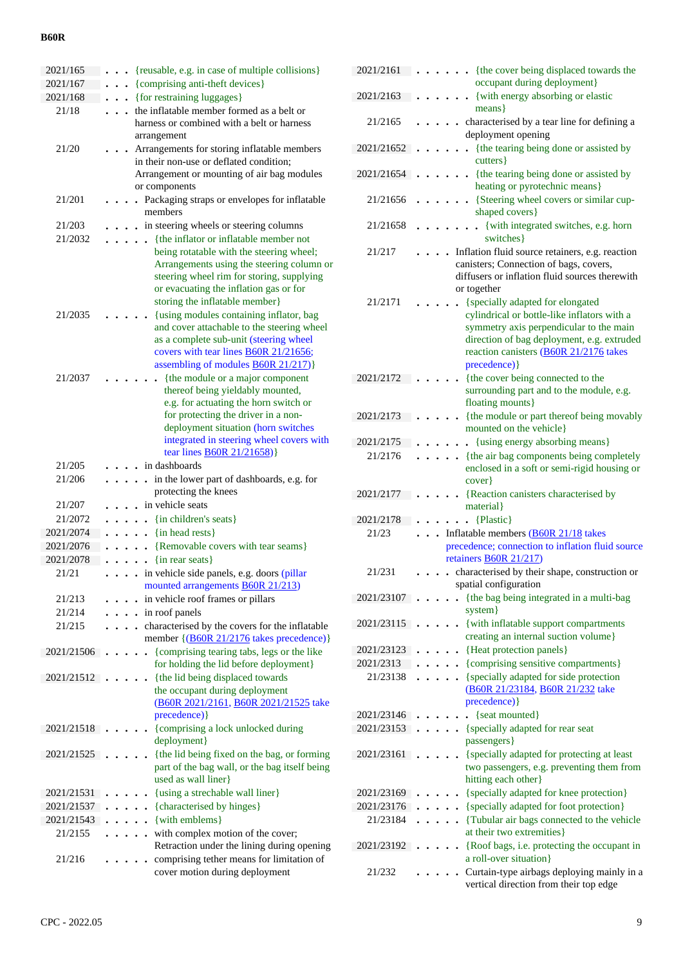| 2021/165   | {reusable, e.g. in case of multiple collisions}                                                                                                                                                                                                                              |  |
|------------|------------------------------------------------------------------------------------------------------------------------------------------------------------------------------------------------------------------------------------------------------------------------------|--|
| 2021/167   | {comprising anti-theft devices}                                                                                                                                                                                                                                              |  |
| 2021/168   | {for restraining luggages}                                                                                                                                                                                                                                                   |  |
| 21/18      | the inflatable member formed as a belt or<br>harness or combined with a belt or harness<br>arrangement                                                                                                                                                                       |  |
| 21/20      | Arrangements for storing inflatable members<br>in their non-use or deflated condition;<br>Arrangement or mounting of air bag modules<br>or components                                                                                                                        |  |
| 21/201     | . Packaging straps or envelopes for inflatable<br>members                                                                                                                                                                                                                    |  |
| 21/203     | in steering wheels or steering columns                                                                                                                                                                                                                                       |  |
| 21/2032    | {the inflator or inflatable member not<br>being rotatable with the steering wheel;<br>Arrangements using the steering column or<br>steering wheel rim for storing, supplying<br>or evacuating the inflation gas or for<br>storing the inflatable member}                     |  |
| 21/2035    | {using modules containing inflator, bag<br>and cover attachable to the steering wheel<br>as a complete sub-unit (steering wheel<br>covers with tear lines <b>B60R</b> 21/21656;<br>assembling of modules <b>B60R 21/217</b> )}                                               |  |
| 21/2037    | {the module or a major component<br>thereof being yieldably mounted,<br>e.g. for actuating the horn switch or<br>for protecting the driver in a non-<br>deployment situation (horn switches<br>integrated in steering wheel covers with<br>tear lines <b>B60R</b> 21/21658)} |  |
| 21/205     | in dashboards                                                                                                                                                                                                                                                                |  |
| 21/206     | in the lower part of dashboards, e.g. for<br>$\ddot{\phantom{a}}$<br>protecting the knees                                                                                                                                                                                    |  |
| 21/207     | in vehicle seats                                                                                                                                                                                                                                                             |  |
| 21/2072    | {in children's seats}                                                                                                                                                                                                                                                        |  |
| 2021/2074  | {in head rests}<br>$\ddot{\phantom{0}}$                                                                                                                                                                                                                                      |  |
| 2021/2076  | {Removable covers with tear seams}                                                                                                                                                                                                                                           |  |
| 2021/2078  | {in rear seats}                                                                                                                                                                                                                                                              |  |
| 21/21      | in vehicle side panels, e.g. doors (pillar                                                                                                                                                                                                                                   |  |
|            | mounted arrangements <b>B60R 21/213</b> )                                                                                                                                                                                                                                    |  |
| 21/213     | in vehicle roof frames or pillars                                                                                                                                                                                                                                            |  |
| 21/214     | . in roof panels                                                                                                                                                                                                                                                             |  |
| 21/215     | characterised by the covers for the inflatable<br>member {(B60R 21/2176 takes precedence)}                                                                                                                                                                                   |  |
| 2021/21506 | {comprising tearing tabs, legs or the like<br>for holding the lid before deployment}                                                                                                                                                                                         |  |
| 2021/21512 | {the lid being displaced towards<br>the occupant during deployment<br>(B60R 2021/2161, B60R 2021/21525 take<br>precedence) }                                                                                                                                                 |  |
| 2021/21518 | {comprising a lock unlocked during<br>deployment}                                                                                                                                                                                                                            |  |
| 2021/21525 | {the lid being fixed on the bag, or forming<br>part of the bag wall, or the bag itself being<br>used as wall liner}                                                                                                                                                          |  |
| 2021/21531 | {using a strechable wall liner}                                                                                                                                                                                                                                              |  |
| 2021/21537 | {characterised by hinges}                                                                                                                                                                                                                                                    |  |
| 2021/21543 | {with emblems}                                                                                                                                                                                                                                                               |  |
| 21/2155    | with complex motion of the cover;<br>Retraction under the lining during opening                                                                                                                                                                                              |  |
| 21/216     | comprising tether means for limitation of<br>cover motion during deployment                                                                                                                                                                                                  |  |

| 2021/2161   |  |  | {the cover being displaced towards the                                                                                                                                                                                              |
|-------------|--|--|-------------------------------------------------------------------------------------------------------------------------------------------------------------------------------------------------------------------------------------|
|             |  |  | occupant during deployment}                                                                                                                                                                                                         |
| 2021/2163   |  |  | {with energy absorbing or elastic<br>means }                                                                                                                                                                                        |
| 21/2165     |  |  | characterised by a tear line for defining a<br>deployment opening                                                                                                                                                                   |
| 2021/21652  |  |  | {the tearing being done or assisted by<br>cutters }                                                                                                                                                                                 |
| 2021/21654  |  |  | {the tearing being done or assisted by<br>heating or pyrotechnic means}                                                                                                                                                             |
| 21/21656    |  |  | {Steering wheel covers or similar cup-<br>shaped covers}                                                                                                                                                                            |
| 21/21658    |  |  | {with integrated switches, e.g. horn<br>switches }                                                                                                                                                                                  |
| 21/217      |  |  | Inflation fluid source retainers, e.g. reaction<br>canisters; Connection of bags, covers,<br>diffusers or inflation fluid sources therewith<br>or together                                                                          |
| 21/2171     |  |  | {specially adapted for elongated<br>cylindrical or bottle-like inflators with a<br>symmetry axis perpendicular to the main<br>direction of bag deployment, e.g. extruded<br>reaction canisters (B60R 21/2176 takes<br>precedence) } |
| 2021/2172   |  |  | {the cover being connected to the<br>surrounding part and to the module, e.g.<br>floating mounts}                                                                                                                                   |
| 2021/2173   |  |  | {the module or part thereof being movably<br>mounted on the vehicle}                                                                                                                                                                |
| 2021/2175   |  |  | • {using energy absorbing means}                                                                                                                                                                                                    |
| 21/2176     |  |  | {the air bag components being completely                                                                                                                                                                                            |
|             |  |  | enclosed in a soft or semi-rigid housing or<br>cover                                                                                                                                                                                |
| 2021/2177   |  |  | {Reaction canisters characterised by<br>material }                                                                                                                                                                                  |
| 2021/2178   |  |  | {Plastic}                                                                                                                                                                                                                           |
| 21/23       |  |  | Inflatable members (B60R 21/18 takes                                                                                                                                                                                                |
|             |  |  | precedence; connection to inflation fluid source                                                                                                                                                                                    |
|             |  |  | retainers B60R $21/217$ )                                                                                                                                                                                                           |
| 21/231      |  |  | characterised by their shape, construction or<br>spatial configuration                                                                                                                                                              |
| 2021/23107. |  |  | {the bag being integrated in a multi-bag<br>system }                                                                                                                                                                                |
| 2021/23115  |  |  | {with inflatable support compartments<br>creating an internal suction volume}                                                                                                                                                       |
| 2021/23123  |  |  | {Heat protection panels}                                                                                                                                                                                                            |
| 2021/2313   |  |  | {comprising sensitive compartments}                                                                                                                                                                                                 |
| 21/23138    |  |  | {specially adapted for side protection<br>(B60R 21/23184, B60R 21/232 take<br>precedence) }                                                                                                                                         |
| 2021/23146  |  |  | {seat mounted}                                                                                                                                                                                                                      |
| 2021/23153  |  |  | {specially adapted for rear seat<br>passengers }                                                                                                                                                                                    |
| 2021/23161  |  |  | {specially adapted for protecting at least<br>two passengers, e.g. preventing them from<br>hitting each other}                                                                                                                      |
| 2021/23169  |  |  | {specially adapted for knee protection}                                                                                                                                                                                             |
| 2021/23176  |  |  | {specially adapted for foot protection}                                                                                                                                                                                             |
| 21/23184    |  |  | {Tubular air bags connected to the vehicle                                                                                                                                                                                          |
|             |  |  | at their two extremities }                                                                                                                                                                                                          |
| 2021/23192  |  |  | {Roof bags, i.e. protecting the occupant in<br>a roll-over situation}                                                                                                                                                               |
| 21/232      |  |  | Curtain-type airbags deploying mainly in a<br>vertical direction from their top edge                                                                                                                                                |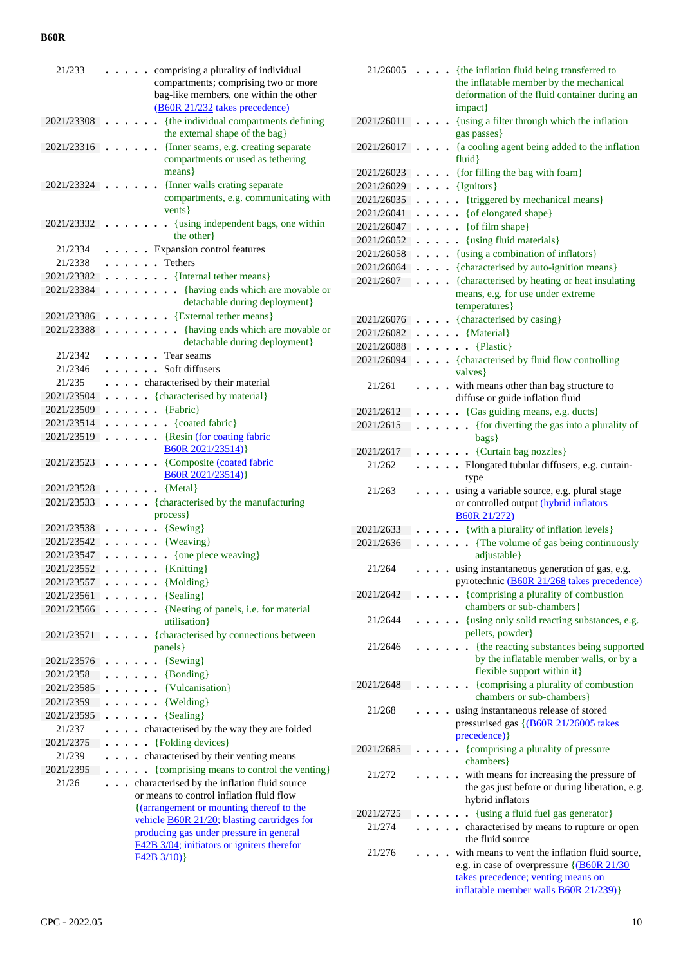| 21/233     |  |                      |                      |           | comprising a plurality of individual                                   |
|------------|--|----------------------|----------------------|-----------|------------------------------------------------------------------------|
|            |  |                      |                      |           | compartments; comprising two or more                                   |
|            |  |                      |                      |           | bag-like members, one within the other                                 |
|            |  |                      |                      |           | (B60R 21/232 takes precedence)                                         |
| 2021/23308 |  |                      |                      |           | {the individual compartments defining                                  |
|            |  |                      |                      |           | the external shape of the bag}                                         |
| 2021/23316 |  |                      |                      |           | {Inner seams, e.g. creating separate                                   |
|            |  |                      |                      |           | compartments or used as tethering                                      |
|            |  |                      |                      |           | means }                                                                |
| 2021/23324 |  |                      |                      |           | {Inner walls crating separate<br>compartments, e.g. communicating with |
|            |  |                      |                      |           | vents }                                                                |
|            |  |                      |                      |           |                                                                        |
| 2021/23332 |  |                      |                      |           | {using independent bags, one within<br>the other                       |
| 21/2334    |  |                      |                      |           | Expansion control features                                             |
| 21/2338    |  |                      |                      |           | . Tethers                                                              |
| 2021/23382 |  |                      |                      |           | • {Internal tether means}                                              |
| 2021/23384 |  |                      |                      |           | • {having ends which are movable or                                    |
|            |  |                      |                      |           | detachable during deployment}                                          |
| 2021/23386 |  |                      |                      |           | . . {External tether means}                                            |
| 2021/23388 |  |                      |                      |           | • {having ends which are movable or                                    |
|            |  |                      |                      |           | detachable during deployment}                                          |
| 21/2342    |  |                      |                      |           | Tear seams                                                             |
| 21/2346    |  |                      |                      |           | . . Soft diffusers                                                     |
| 21/235     |  |                      |                      |           | characterised by their material                                        |
| 2021/23504 |  |                      |                      |           | {characterised by material}                                            |
| 2021/23509 |  |                      |                      |           | {Fabric}                                                               |
| 2021/23514 |  |                      | $\ddot{\phantom{0}}$ | $\cdot$   | {coated fabric}                                                        |
| 2021/23519 |  |                      |                      | $\bullet$ | $\ddot{\phantom{0}}$<br>• {Resin (for coating fabric                   |
|            |  |                      |                      |           | B60R 2021/23514)}                                                      |
| 2021/23523 |  |                      |                      |           | {Composite (coated fabric                                              |
|            |  |                      |                      |           | B60R 2021/23514)}                                                      |
| 2021/23528 |  |                      |                      |           | ${Metal}$                                                              |
| 2021/23533 |  |                      |                      |           | {characterised by the manufacturing                                    |
|            |  |                      |                      |           | process }                                                              |
| 2021/23538 |  |                      |                      |           | {Sewing}                                                               |
| 2021/23542 |  |                      |                      |           | {Weaving}                                                              |
| 2021/23547 |  |                      |                      |           | {one piece weaving}<br>$\ddot{\phantom{0}}$                            |
| 2021/23552 |  | $\ddot{\phantom{0}}$ |                      |           | . {Knitting}                                                           |
| 2021/23557 |  |                      | $\bullet$            |           | $\bullet$ {Molding}                                                    |
| 2021/23561 |  |                      |                      |           | $\ldots$ {Sealing}                                                     |
| 2021/23566 |  |                      |                      |           | . {Nesting of panels, i.e. for material                                |
|            |  |                      |                      |           | utilisation}                                                           |
| 2021/23571 |  |                      |                      |           | {characterised by connections between                                  |
|            |  |                      |                      |           | panels }                                                               |
| 2021/23576 |  |                      |                      |           | $\cdot$ {Sewing}                                                       |
| 2021/2358  |  |                      |                      |           | $\bullet \bullet \{ Bonding\}$                                         |
| 2021/23585 |  |                      |                      |           | $\cdots$ $\cdots$ {Vulcanisation}                                      |
| 2021/2359  |  |                      |                      |           | $\ldots$ {Welding}                                                     |
| 2021/23595 |  |                      |                      |           | $\ldots$ {Sealing}                                                     |
| 21/237     |  |                      |                      |           | . characterised by the way they are folded                             |
| 2021/2375  |  |                      |                      |           | $\cdots$ (Folding devices)                                             |
| 21/239     |  |                      |                      |           | . characterised by their venting means                                 |
| 2021/2395  |  |                      |                      |           | {comprising means to control the venting}                              |
| 21/26      |  |                      |                      |           | . characterised by the inflation fluid source                          |
|            |  |                      |                      |           | or means to control inflation fluid flow                               |
|            |  |                      |                      |           | {(arrangement or mounting thereof to the                               |
|            |  |                      |                      |           | vehicle <b>B60R</b> 21/20; blasting cartridges for                     |
|            |  |                      |                      |           | producing gas under pressure in general                                |
|            |  |                      |                      |           | F42B 3/04; initiators or igniters therefor<br>$F42B\ 3/10)$            |
|            |  |                      |                      |           |                                                                        |
|            |  |                      |                      |           |                                                                        |

| 21/26005            | {the inflation fluid being transferred to<br>$\ddot{\phantom{0}}$<br>the inflatable member by the mechanical<br>deformation of the fluid container during an<br>impact} |  |
|---------------------|-------------------------------------------------------------------------------------------------------------------------------------------------------------------------|--|
| $2021/26011$        | {using a filter through which the inflation<br>gas passes}                                                                                                              |  |
| 2021/26017          | {a cooling agent being added to the inflation<br>$fluid$ }                                                                                                              |  |
| 2021/26023          | {for filling the bag with foam}                                                                                                                                         |  |
| 2021/26029          | $\ldots$ {Ignitors}                                                                                                                                                     |  |
| 2021/26035          | . {triggered by mechanical means}                                                                                                                                       |  |
| 2021/26041          | $\ldots$ { of elongated shape}                                                                                                                                          |  |
| 2021/26047          | $\ldots$ (of film shape)                                                                                                                                                |  |
| 2021/26052          | . {using fluid materials}                                                                                                                                               |  |
| 2021/26058          | {using a combination of inflators}                                                                                                                                      |  |
| 2021/26064          | . {characterised by auto-ignition means}                                                                                                                                |  |
| 2021/2607           | {characterised by heating or heat insulating<br>means, e.g. for use under extreme<br>temperatures}                                                                      |  |
| 2021/26076          | {characterised by casing}                                                                                                                                               |  |
| 2021/26082          | • {Material}                                                                                                                                                            |  |
| 2021/26088          | $\bullet$ {Plastic}<br>$\ddot{\phantom{a}}$                                                                                                                             |  |
| 2021/26094          | {characterised by fluid flow controlling<br>valves }                                                                                                                    |  |
| 21/261              | . with means other than bag structure to<br>diffuse or guide inflation fluid                                                                                            |  |
| 2021/2612           | {Gas guiding means, e.g. ducts}                                                                                                                                         |  |
| 2021/2615           | . {for diverting the gas into a plurality of<br>bags}                                                                                                                   |  |
| 2021/2617           | {Curtain bag nozzles}<br>$\ddotsc$                                                                                                                                      |  |
| 21/262              | . Elongated tubular diffusers, e.g. curtain-<br>type                                                                                                                    |  |
| 21/263              | using a variable source, e.g. plural stage<br>or controlled output (hybrid inflators<br><b>B60R 21/272)</b>                                                             |  |
| 2021/2633           | • {with a plurality of inflation levels}                                                                                                                                |  |
| 2021/2636           | {The volume of gas being continuously<br>$\sim$<br>adjustable}                                                                                                          |  |
| 21/264<br>2021/2642 | using instantaneous generation of gas, e.g.<br>pyrotechnic (B60R 21/268 takes precedence)<br>{comprising a plurality of combustion                                      |  |
| 21/2644             | chambers or sub-chambers}<br>{using only solid reacting substances, e.g.                                                                                                |  |
|                     | pellets, powder}                                                                                                                                                        |  |
| 21/2646             | {the reacting substances being supported<br>by the inflatable member walls, or by a<br>flexible support within it}                                                      |  |
| 2021/2648           | {comprising a plurality of combustion<br>chambers or sub-chambers}                                                                                                      |  |
| 21/268              | using instantaneous release of stored<br>pressurised gas {(B60R 21/26005 takes                                                                                          |  |
|                     | precedence) }                                                                                                                                                           |  |
| 2021/2685           | {comprising a plurality of pressure<br>chambers}                                                                                                                        |  |
| 21/272              | with means for increasing the pressure of<br>the gas just before or during liberation, e.g.<br>hybrid inflators                                                         |  |
| 2021/2725           | {using a fluid fuel gas generator}                                                                                                                                      |  |
| 21/274              | characterised by means to rupture or open<br>the fluid source                                                                                                           |  |
| 21/276              | with means to vent the inflation fluid source,                                                                                                                          |  |
|                     | e.g. in case of overpressure {(B60R 21/30)<br>takes precedence; venting means on                                                                                        |  |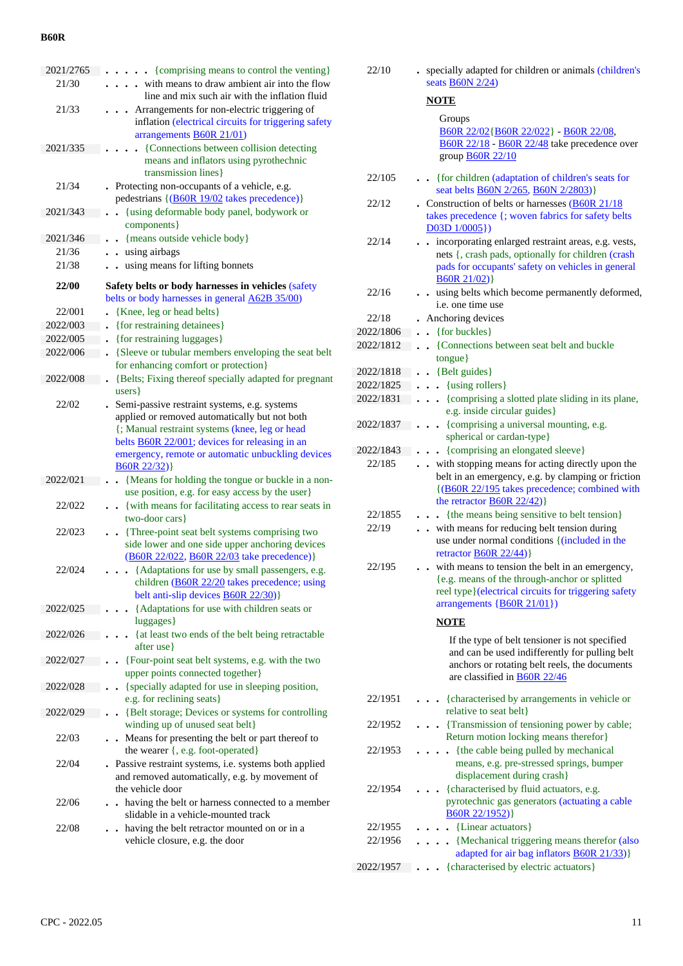| 2021/2765 | • {comprising means to control the venting}                                                                                                           |
|-----------|-------------------------------------------------------------------------------------------------------------------------------------------------------|
| 21/30     | with means to draw ambient air into the flow<br>line and mix such air with the inflation fluid                                                        |
| 21/33     | Arrangements for non-electric triggering of<br>inflation (electrical circuits for triggering safety<br>arrangements <b>B60R 21/01</b> )               |
| 2021/335  | {Connections between collision detecting<br>means and inflators using pyrothechnic<br>transmission lines}                                             |
| 21/34     | Protecting non-occupants of a vehicle, e.g.<br>pedestrians {(B60R 19/02 takes precedence)}                                                            |
| 2021/343  | {using deformable body panel, bodywork or<br>components}                                                                                              |
| 2021/346  | {means outside vehicle body}<br>$\cdot$                                                                                                               |
| 21/36     | using airbags                                                                                                                                         |
| 21/38     | using means for lifting bonnets                                                                                                                       |
| 22/00     | Safety belts or body harnesses in vehicles (safety                                                                                                    |
|           | belts or body harnesses in general A62B 35/00)                                                                                                        |
| 22/001    | {Knee, leg or head belts}                                                                                                                             |
| 2022/003  | {for restraining detainees}                                                                                                                           |
| 2022/005  | {for restraining luggages}                                                                                                                            |
| 2022/006  | {Sleeve or tubular members enveloping the seat belt                                                                                                   |
|           | for enhancing comfort or protection}                                                                                                                  |
| 2022/008  | {Belts; Fixing thereof specially adapted for pregnant                                                                                                 |
|           | users }                                                                                                                                               |
| 22/02     | Semi-passive restraint systems, e.g. systems<br>applied or removed automatically but not both                                                         |
|           | {; Manual restraint systems (knee, leg or head                                                                                                        |
|           | belts <b>B60R</b> 22/001; devices for releasing in an                                                                                                 |
|           | emergency, remote or automatic unbuckling devices                                                                                                     |
|           | B60R 22/32)                                                                                                                                           |
| 2022/021  | {Means for holding the tongue or buckle in a non-                                                                                                     |
|           | use position, e.g. for easy access by the user}                                                                                                       |
| 22/022    | . {with means for facilitating access to rear seats in<br>two-door cars}                                                                              |
| 22/023    | {Three-point seat belt systems comprising two<br>side lower and one side upper anchoring devices<br>(B60R 22/022, B60R 22/03 take precedence)}        |
| 22/024    | {Adaptations for use by small passengers, e.g.<br>children ( <b>B60R</b> 22/20 takes precedence; using<br>belt anti-slip devices <b>B60R 22/30</b> )} |
| 2022/025  | {Adaptations for use with children seats or<br>luggages}                                                                                              |
| 2022/026  | {at least two ends of the belt being retractable<br>after use }                                                                                       |
| 2022/027  | {Four-point seat belt systems, e.g. with the two<br>$\ddot{\phantom{0}}$                                                                              |
|           | upper points connected together}                                                                                                                      |
| 2022/028  | {specially adapted for use in sleeping position,<br>$\ddot{\phantom{a}}$                                                                              |
|           | e.g. for reclining seats}                                                                                                                             |
| 2022/029  | {Belt storage; Devices or systems for controlling                                                                                                     |
|           | winding up of unused seat belt}                                                                                                                       |
| 22/03     | . Means for presenting the belt or part thereof to<br>the wearer {, e.g. foot-operated}                                                               |
| 22/04     | Passive restraint systems, i.e. systems both applied<br>and removed automatically, e.g. by movement of<br>the vehicle door                            |
| 22/06     | • having the belt or harness connected to a member<br>slidable in a vehicle-mounted track                                                             |
| 22/08     | having the belt retractor mounted on or in a                                                                                                          |
|           | vehicle closure, e.g. the door                                                                                                                        |

| 22/10     | specially adapted for children or animals (children's<br>seats <b>B60N 2/24</b> )                                                                                                                                          |
|-----------|----------------------------------------------------------------------------------------------------------------------------------------------------------------------------------------------------------------------------|
|           | <b>NOTE</b>                                                                                                                                                                                                                |
|           | Groups<br>B60R 22/02{B60R 22/022} - B60R 22/08,<br>B60R 22/18 - B60R 22/48 take precedence over<br>group <b>B60R 22/10</b>                                                                                                 |
| 22/105    | • {for children (adaptation of children's seats for<br>seat belts <b>B60N</b> 2/265, <b>B60N</b> 2/2803)}                                                                                                                  |
| 22/12     | • Construction of belts or harnesses $(B60R 21/18)$<br>takes precedence {; woven fabrics for safety belts<br>$D03D$ $1/0005$ }                                                                                             |
| 22/14     | incorporating enlarged restraint areas, e.g. vests,<br>nets {, crash pads, optionally for children (crash<br>pads for occupants' safety on vehicles in general<br>B60R 21/02)                                              |
| 22/16     | . using belts which become permanently deformed,<br>i.e. one time use                                                                                                                                                      |
| 22/18     | Anchoring devices                                                                                                                                                                                                          |
| 2022/1806 | {for buckles}<br>$\ddot{\phantom{0}}$                                                                                                                                                                                      |
| 2022/1812 | • {Connections between seat belt and buckle<br>tongue}                                                                                                                                                                     |
| 2022/1818 | $\cdot$ {Belt guides}                                                                                                                                                                                                      |
| 2022/1825 | $\bullet$ $\bullet$ {using rollers}                                                                                                                                                                                        |
| 2022/1831 | . {comprising a slotted plate sliding in its plane,<br>e.g. inside circular guides}                                                                                                                                        |
| 2022/1837 | {comprising a universal mounting, e.g.<br>spherical or cardan-type}                                                                                                                                                        |
| 2022/1843 | {comprising an elongated sleeve}                                                                                                                                                                                           |
| 22/185    | with stopping means for acting directly upon the<br>$\ddot{\phantom{a}}$<br>belt in an emergency, e.g. by clamping or friction<br>{(B60R 22/195 takes precedence; combined with<br>the retractor $\underline{B60R}$ 22/42) |
| 22/1855   | {the means being sensitive to belt tension}                                                                                                                                                                                |
| 22/19     | with means for reducing belt tension during<br>use under normal conditions {(included in the<br>retractor $\underline{B60R}$ 22/44)                                                                                        |
| 22/195    | with means to tension the belt in an emergency,<br>{e.g. means of the through-anchor or splitted<br>reel type}(electrical circuits for triggering safety<br>arrangements {B60R 21/01})                                     |
|           | <b>NOTE</b>                                                                                                                                                                                                                |
|           | If the type of belt tensioner is not specified<br>and can be used indifferently for pulling belt<br>anchors or rotating belt reels, the documents<br>are classified in <b>B60R 22/46</b>                                   |
| 22/1951   | . {characterised by arrangements in vehicle or<br>relative to seat belt }                                                                                                                                                  |
| 22/1952   | {Transmission of tensioning power by cable;<br>Return motion locking means therefor}                                                                                                                                       |
| 22/1953   | {the cable being pulled by mechanical<br>$\bullet$<br>means, e.g. pre-stressed springs, bumper<br>displacement during crash}                                                                                               |
| 22/1954   | {characterised by fluid actuators, e.g.<br>pyrotechnic gas generators (actuating a cable<br>B60R 22/1952)                                                                                                                  |
| 22/1955   | {Linear actuators}                                                                                                                                                                                                         |
| 22/1956   | {Mechanical triggering means therefor (also<br>adapted for air bag inflators <b>B60R 21/33</b> )}                                                                                                                          |
| 2022/1957 | {characterised by electric actuators}                                                                                                                                                                                      |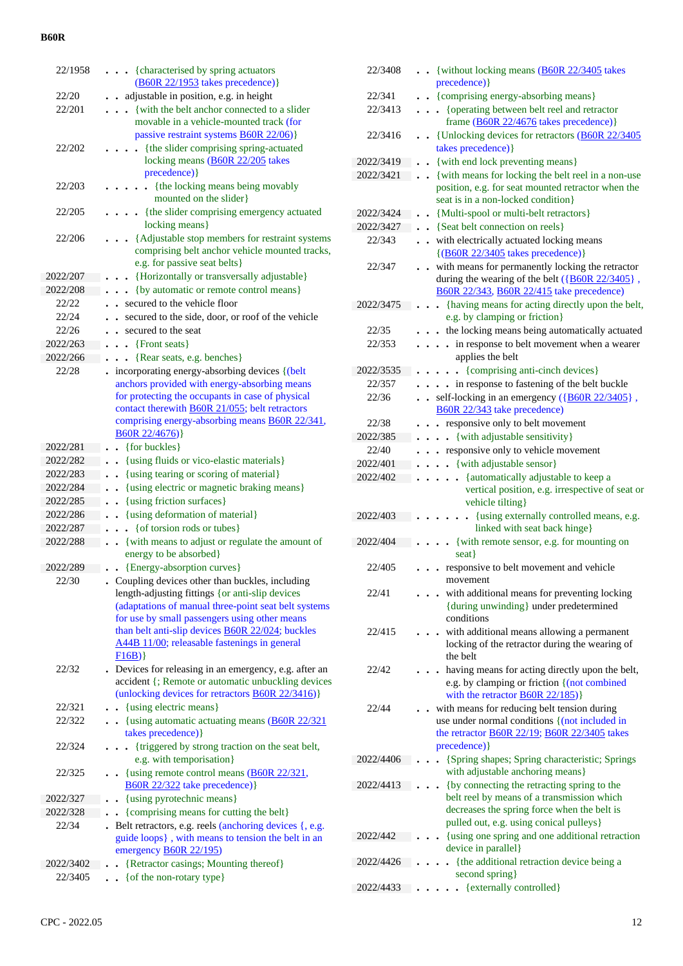| 22/1958   | {characterised by spring actuators<br>$\bullet$<br>$(B60R 22/1953$ takes precedence)                                                                                                                                                                                                                                           |
|-----------|--------------------------------------------------------------------------------------------------------------------------------------------------------------------------------------------------------------------------------------------------------------------------------------------------------------------------------|
| 22/20     | adjustable in position, e.g. in height                                                                                                                                                                                                                                                                                         |
| 22/201    | {with the belt anchor connected to a slider                                                                                                                                                                                                                                                                                    |
|           | movable in a vehicle-mounted track (for<br>passive restraint systems <b>B60R 22/06</b> )}                                                                                                                                                                                                                                      |
| 22/202    | {the slider comprising spring-actuated<br>locking means (B60R 22/205 takes<br>precedence) }                                                                                                                                                                                                                                    |
| 22/203    | {the locking means being movably<br>mounted on the slider}                                                                                                                                                                                                                                                                     |
| 22/205    | {the slider comprising emergency actuated<br>locking means}                                                                                                                                                                                                                                                                    |
| 22/206    | {Adjustable stop members for restraint systems<br>comprising belt anchor vehicle mounted tracks,<br>e.g. for passive seat belts }                                                                                                                                                                                              |
| 2022/207  | {Horizontally or transversally adjustable}                                                                                                                                                                                                                                                                                     |
| 2022/208  | {by automatic or remote control means}                                                                                                                                                                                                                                                                                         |
| 22/22     | secured to the vehicle floor                                                                                                                                                                                                                                                                                                   |
| 22/24     | secured to the side, door, or roof of the vehicle                                                                                                                                                                                                                                                                              |
| 22/26     | secured to the seat                                                                                                                                                                                                                                                                                                            |
| 2022/263  | {Front seats}                                                                                                                                                                                                                                                                                                                  |
| 2022/266  | {Rear seats, e.g. benches}                                                                                                                                                                                                                                                                                                     |
| 22/28     | incorporating energy-absorbing devices {(belt                                                                                                                                                                                                                                                                                  |
|           | anchors provided with energy-absorbing means                                                                                                                                                                                                                                                                                   |
|           | for protecting the occupants in case of physical                                                                                                                                                                                                                                                                               |
|           | contact therewith <b>B60R 21/055</b> ; belt retractors                                                                                                                                                                                                                                                                         |
|           | comprising energy-absorbing means <b>B60R 22/341</b> ,<br>B60R 22/4676)                                                                                                                                                                                                                                                        |
| 2022/281  | {for buckles}                                                                                                                                                                                                                                                                                                                  |
| 2022/282  | {using fluids or vico-elastic materials}                                                                                                                                                                                                                                                                                       |
| 2022/283  | {using tearing or scoring of material}                                                                                                                                                                                                                                                                                         |
| 2022/284  | {using electric or magnetic braking means}                                                                                                                                                                                                                                                                                     |
| 2022/285  | {using friction surfaces}                                                                                                                                                                                                                                                                                                      |
| 2022/286  | {using deformation of material}                                                                                                                                                                                                                                                                                                |
| 2022/287  | {of torsion rods or tubes}                                                                                                                                                                                                                                                                                                     |
| 2022/288  | {with means to adjust or regulate the amount of<br>$\ddot{\phantom{0}}$                                                                                                                                                                                                                                                        |
|           | energy to be absorbed}                                                                                                                                                                                                                                                                                                         |
| 2022/289  | {Energy-absorption curves}                                                                                                                                                                                                                                                                                                     |
| 22/30     | Coupling devices other than buckles, including<br>length-adjusting fittings {or anti-slip devices<br>(adaptations of manual three-point seat belt systems<br>for use by small passengers using other means<br>than belt anti-slip devices <b>B60R</b> 22/024; buckles<br>A44B 11/00; releasable fastenings in general<br>F16B) |
| 22/32     | . Devices for releasing in an emergency, e.g. after an<br>accident {; Remote or automatic unbuckling devices<br>(unlocking devices for retractors <b>B60R 22/3416</b> )}                                                                                                                                                       |
| 22/321    | • {using electric means}                                                                                                                                                                                                                                                                                                       |
| 22/322    | $\cdot$ {using automatic actuating means (B60R 22/321)                                                                                                                                                                                                                                                                         |
|           | takes precedence) }                                                                                                                                                                                                                                                                                                            |
| 22/324    | {triggered by strong traction on the seat belt,<br>e.g. with temporisation}                                                                                                                                                                                                                                                    |
| 22/325    | {using remote control means (B60R 22/321,<br>B60R 22/322 take precedence) }                                                                                                                                                                                                                                                    |
| 2022/327  | {using pyrotechnic means}                                                                                                                                                                                                                                                                                                      |
| 2022/328  | {comprising means for cutting the belt}                                                                                                                                                                                                                                                                                        |
| 22/34     | Belt retractors, e.g. reels (anchoring devices {, e.g.                                                                                                                                                                                                                                                                         |
|           | guide loops}, with means to tension the belt in an                                                                                                                                                                                                                                                                             |
|           | emergency <b>B60R 22/195</b> )                                                                                                                                                                                                                                                                                                 |
| 2022/3402 | {Retractor casings; Mounting thereof}                                                                                                                                                                                                                                                                                          |
| 22/3405   | {of the non-rotary type}<br>$\ddot{\phantom{0}}$                                                                                                                                                                                                                                                                               |

| 22/3408   | . . {without locking means (B60R 22/3405 takes                                                               |
|-----------|--------------------------------------------------------------------------------------------------------------|
|           | precedence) }                                                                                                |
| 22/341    | {comprising energy-absorbing means}                                                                          |
| 22/3413   | {operating between belt reel and retractor<br>$\ddot{\phantom{0}}$<br>frame (B60R 22/4676 takes precedence)} |
| 22/3416   | {Unlocking devices for retractors (B60R 22/3405)<br>$\ddot{\phantom{a}}$<br>takes precedence) }              |
| 2022/3419 | {with end lock preventing means}                                                                             |
| 2022/3421 | {with means for locking the belt reel in a non-use                                                           |
|           | position, e.g. for seat mounted retractor when the<br>seat is in a non-locked condition}                     |
| 2022/3424 | {Multi-spool or multi-belt retractors}                                                                       |
| 2022/3427 | {Seat belt connection on reels}                                                                              |
| 22/343    | with electrically actuated locking means<br>$\{(B60R 22/3405 \text{ takes precedence})\}$                    |
| 22/347    | with means for permanently locking the retractor                                                             |
|           | during the wearing of the belt $(\{B60R\ 22/3405\})$ ,<br>B60R 22/343, B60R 22/415 take precedence)          |
| 2022/3475 | {having means for acting directly upon the belt,                                                             |
|           | e.g. by clamping or friction}                                                                                |
| 22/35     | . . the locking means being automatically actuated                                                           |
| 22/353    | in response to belt movement when a wearer<br>$\ddots$<br>applies the belt                                   |
| 2022/3535 | {comprising anti-cinch devices}<br>$\ddot{\phantom{a}}$<br>$\bullet$                                         |
| 22/357    | . . in response to fastening of the belt buckle                                                              |
| 22/36     | self-locking in an emergency $({860R 22}/3405)$ ,                                                            |
|           | B60R 22/343 take precedence)                                                                                 |
| 22/38     | responsive only to belt movement                                                                             |
| 2022/385  | {with adjustable sensitivity}                                                                                |
| 22/40     | responsive only to vehicle movement                                                                          |
| 2022/401  | • {with adjustable sensor}                                                                                   |
| 2022/402  | {automatically adjustable to keep a<br>vertical position, e.g. irrespective of seat or<br>vehicle tilting}   |
| 2022/403  | {using externally controlled means, e.g.<br>linked with seat back hinge}                                     |
| 2022/404  | {with remote sensor, e.g. for mounting on<br>seat }                                                          |
| 22/405    | responsive to belt movement and vehicle                                                                      |
|           | movement                                                                                                     |
| 22/41     | with additional means for preventing locking<br>{during unwinding} under predetermined<br>conditions         |
| 22/415    | with additional means allowing a permanent                                                                   |
|           | locking of the retractor during the wearing of<br>the belt                                                   |
| 22/42     | having means for acting directly upon the belt,                                                              |
|           | e.g. by clamping or friction {(not combined                                                                  |
|           | with the retractor $\angle{B60R}$ 22/185)}                                                                   |
| 22/44     | with means for reducing belt tension during                                                                  |
|           | use under normal conditions {(not included in                                                                |
|           | the retractor $\underline{B60R}$ 22/19; $\underline{B60R}$ 22/3405 takes                                     |
|           | precedence) }                                                                                                |
| 2022/4406 | {Spring shapes; Spring characteristic; Springs<br>with adjustable anchoring means}                           |
| 2022/4413 | {by connecting the retracting spring to the<br>belt reel by means of a transmission which                    |
|           | decreases the spring force when the belt is                                                                  |
|           | pulled out, e.g. using conical pulleys}                                                                      |
| 2022/442  | {using one spring and one additional retraction<br>device in parallel}                                       |
| 2022/4426 | {the additional retraction device being a                                                                    |
|           | second spring}                                                                                               |
| 2022/4433 | {externally controlled}                                                                                      |
|           |                                                                                                              |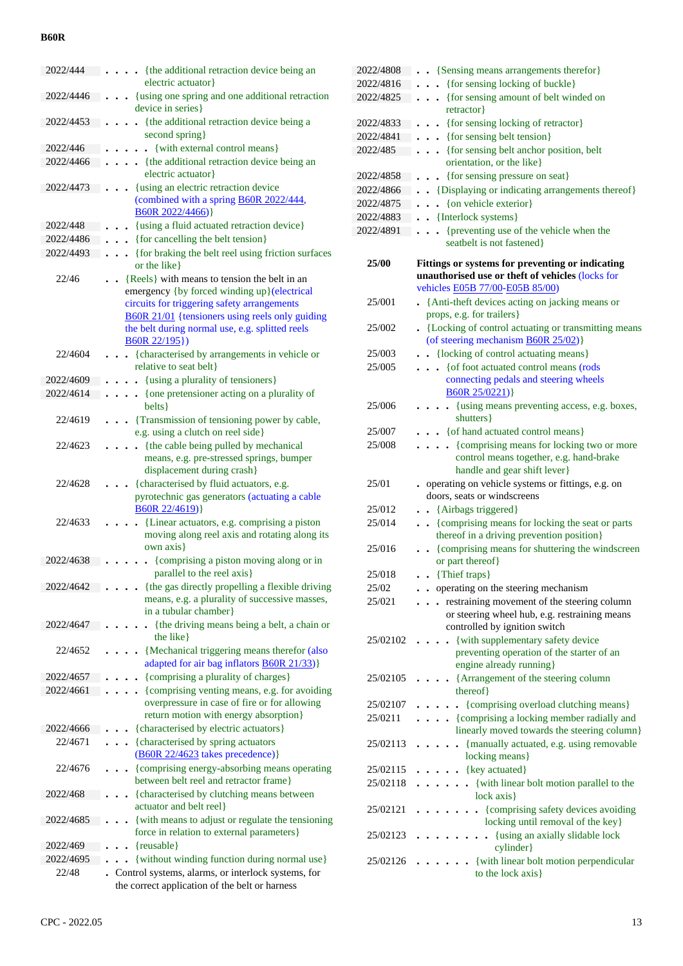| 2022/444              | {the additional retraction device being an<br>$\bullet$<br>electric actuator}                                                                                                                                                                                           |
|-----------------------|-------------------------------------------------------------------------------------------------------------------------------------------------------------------------------------------------------------------------------------------------------------------------|
| 2022/4446             | {using one spring and one additional retraction<br>device in series}                                                                                                                                                                                                    |
| 2022/4453             | {the additional retraction device being a<br>second spring}                                                                                                                                                                                                             |
| 2022/446              | {with external control means}<br>$\sim$                                                                                                                                                                                                                                 |
| 2022/4466             | {the additional retraction device being an                                                                                                                                                                                                                              |
|                       | electric actuator}                                                                                                                                                                                                                                                      |
| 2022/4473             | {using an electric retraction device<br>$\ddot{\phantom{0}}$                                                                                                                                                                                                            |
|                       | (combined with a spring B60R 2022/444,                                                                                                                                                                                                                                  |
|                       | B60R 2022/4466) }                                                                                                                                                                                                                                                       |
| 2022/448<br>2022/4486 | {using a fluid actuated retraction device}                                                                                                                                                                                                                              |
| 2022/4493             | {for cancelling the belt tension}<br>{for braking the belt reel using friction surfaces                                                                                                                                                                                 |
|                       | or the like                                                                                                                                                                                                                                                             |
| 22/46                 | {Reels} with means to tension the belt in an<br>emergency {by forced winding up}(electrical<br>circuits for triggering safety arrangements<br><b>B60R 21/01</b> {tensioners using reels only guiding<br>the belt during normal use, e.g. splitted reels<br>B60R 22/195) |
| 22/4604               | . {characterised by arrangements in vehicle or<br>relative to seat belt}                                                                                                                                                                                                |
| 2022/4609             | {using a plurality of tensioners}<br>$\ddot{\phantom{0}}$                                                                                                                                                                                                               |
| 2022/4614             | {one pretensioner acting on a plurality of                                                                                                                                                                                                                              |
|                       | belts }                                                                                                                                                                                                                                                                 |
| 22/4619               | • {Transmission of tensioning power by cable,<br>e.g. using a clutch on reel side}                                                                                                                                                                                      |
| 22/4623               | {the cable being pulled by mechanical<br>means, e.g. pre-stressed springs, bumper                                                                                                                                                                                       |
|                       | displacement during crash}                                                                                                                                                                                                                                              |
| 22/4628               | {characterised by fluid actuators, e.g.                                                                                                                                                                                                                                 |
|                       | pyrotechnic gas generators (actuating a cable                                                                                                                                                                                                                           |
| 22/4633               | B60R 22/4619)}<br>{Linear actuators, e.g. comprising a piston                                                                                                                                                                                                           |
|                       | moving along reel axis and rotating along its                                                                                                                                                                                                                           |
|                       | own axis}                                                                                                                                                                                                                                                               |
| 2022/4638             | {comprising a piston moving along or in<br>parallel to the reel axis }                                                                                                                                                                                                  |
| 2022/4642             | {the gas directly propelling a flexible driving                                                                                                                                                                                                                         |
|                       | means, e.g. a plurality of successive masses,<br>in a tubular chamber}                                                                                                                                                                                                  |
| 2022/4647             | {the driving means being a belt, a chain or                                                                                                                                                                                                                             |
|                       | the like }                                                                                                                                                                                                                                                              |
| 22/4652               | {Mechanical triggering means therefor (also                                                                                                                                                                                                                             |
|                       | adapted for air bag inflators <b>B60R 21/33</b> )}                                                                                                                                                                                                                      |
| 2022/4657             | {comprising a plurality of charges}                                                                                                                                                                                                                                     |
| 2022/4661             | {comprising venting means, e.g. for avoiding                                                                                                                                                                                                                            |
|                       | overpressure in case of fire or for allowing<br>return motion with energy absorption}                                                                                                                                                                                   |
| 2022/4666             | {characterised by electric actuators}                                                                                                                                                                                                                                   |
| 22/4671               | {characterised by spring actuators                                                                                                                                                                                                                                      |
|                       | (B60R 22/4623 takes precedence)}                                                                                                                                                                                                                                        |
| 22/4676               | {comprising energy-absorbing means operating<br>between belt reel and retractor frame}                                                                                                                                                                                  |
| 2022/468              | {characterised by clutching means between<br>actuator and belt reel}                                                                                                                                                                                                    |
| 2022/4685             | {with means to adjust or regulate the tensioning                                                                                                                                                                                                                        |
|                       | force in relation to external parameters}                                                                                                                                                                                                                               |
| 2022/469              | {reusable}                                                                                                                                                                                                                                                              |
| 2022/4695             | {without winding function during normal use}                                                                                                                                                                                                                            |
| 22/48                 | Control systems, alarms, or interlock systems, for                                                                                                                                                                                                                      |
|                       | the correct application of the belt or harness                                                                                                                                                                                                                          |

| 2022/4808 | • • {Sensing means arrangements therefor}                                                            |
|-----------|------------------------------------------------------------------------------------------------------|
| 2022/4816 | . {for sensing locking of buckle}                                                                    |
| 2022/4825 | . {for sensing amount of belt winded on                                                              |
|           | retractor}                                                                                           |
| 2022/4833 | {for sensing locking of retractor}<br>$\ddot{\phantom{0}}$                                           |
| 2022/4841 | . {for sensing belt tension}                                                                         |
| 2022/485  | {for sensing belt anchor position, belt<br>.                                                         |
|           | orientation, or the like}                                                                            |
| 2022/4858 | {for sensing pressure on seat}<br>$\bullet$ $\bullet$                                                |
| 2022/4866 | • {Displaying or indicating arrangements thereof}                                                    |
| 2022/4875 | {on vehicle exterior}                                                                                |
| 2022/4883 | • {Interlock systems}                                                                                |
| 2022/4891 | {preventing use of the vehicle when the<br>$\ddot{\phantom{a}}$                                      |
|           | seatbelt is not fastened}                                                                            |
| 25/00     |                                                                                                      |
|           | Fittings or systems for preventing or indicating<br>unauthorised use or theft of vehicles (locks for |
|           | vehicles E05B 77/00-E05B 85/00)                                                                      |
| 25/001    | • {Anti-theft devices acting on jacking means or                                                     |
|           | props, e.g. for trailers }                                                                           |
| 25/002    | • {Locking of control actuating or transmitting means                                                |
|           | (of steering mechanism <b>B60R 25/02</b> )}                                                          |
| 25/003    | . {locking of control actuating means}                                                               |
| 25/005    | . { of foot actuated control means (rods                                                             |
|           | connecting pedals and steering wheels                                                                |
|           | B60R 25/0221)                                                                                        |
| 25/006    | {using means preventing access, e.g. boxes,<br>$\ddot{\phantom{0}}$                                  |
|           | shutters }                                                                                           |
| 25/007    | . { of hand actuated control means }                                                                 |
| 25/008    | {comprising means for locking two or more                                                            |
|           | control means together, e.g. hand-brake                                                              |
|           | handle and gear shift lever}                                                                         |
| 25/01     | • operating on vehicle systems or fittings, e.g. on                                                  |
|           | doors, seats or windscreens                                                                          |
|           |                                                                                                      |
| 25/012    | {Airbags triggered}<br>$\ddot{\phantom{0}}$                                                          |
| 25/014    | {comprising means for locking the seat or parts                                                      |
|           | thereof in a driving prevention position}                                                            |
| 25/016    | {comprising means for shuttering the windscreen<br>$\ddot{\phantom{0}}$                              |
|           | or part thereof}                                                                                     |
| 25/018    | {Thief traps}                                                                                        |
| 25/02     | operating on the steering mechanism                                                                  |
| 25/021    | restraining movement of the steering column                                                          |
|           | or steering wheel hub, e.g. restraining means                                                        |
|           | controlled by ignition switch                                                                        |
| 25/02102  | {with supplementary safety device                                                                    |
|           | preventing operation of the starter of an                                                            |
|           | engine already running}                                                                              |
| 25/02105  | {Arrangement of the steering column                                                                  |
| 25/02107  | thereof}                                                                                             |
|           | {comprising overload clutching means}                                                                |
| 25/0211   | {comprising a locking member radially and                                                            |
| 25/02113  | linearly moved towards the steering column}                                                          |
|           | {manually actuated, e.g. using removable                                                             |
| 25/02115  | locking means}                                                                                       |
| 25/02118  | {key actuated}                                                                                       |
|           | {with linear bolt motion parallel to the<br>lock axis}                                               |
| 25/02121  | {comprising safety devices avoiding                                                                  |
|           | locking until removal of the key}                                                                    |
| 25/02123  | • {using an axially slidable lock                                                                    |
|           | cylinder}                                                                                            |
| 25/02126  | {with linear bolt motion perpendicular<br>to the lock axis}                                          |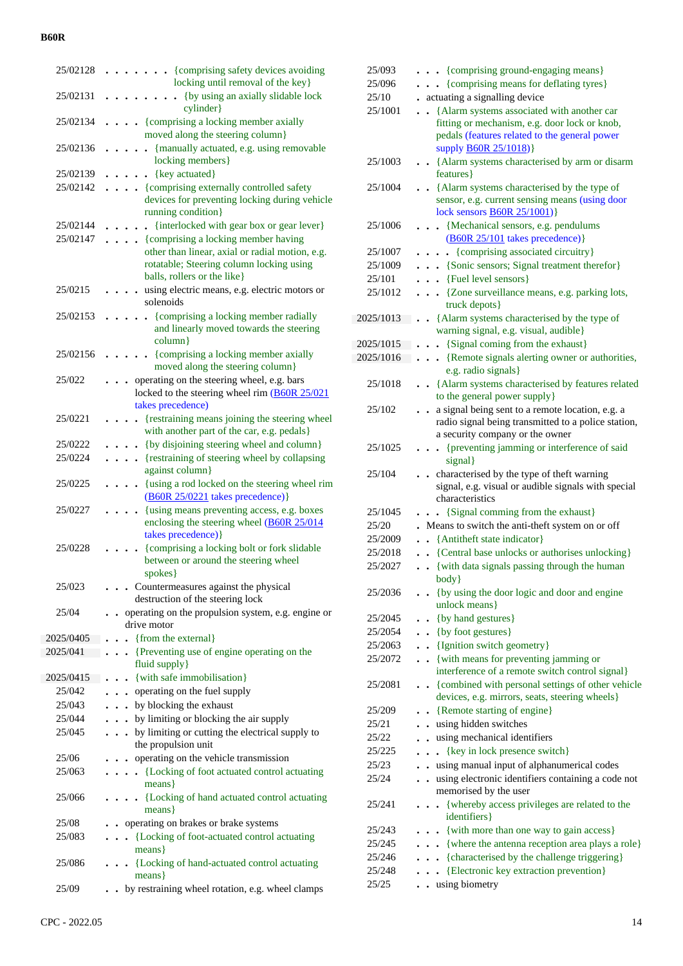| 25/02128  | • {comprising safety devices avoiding<br>locking until removal of the key}                                                 |  |
|-----------|----------------------------------------------------------------------------------------------------------------------------|--|
| 25/02131  | {by using an axially slidable lock                                                                                         |  |
|           | cylinder                                                                                                                   |  |
| 25/02134  | {comprising a locking member axially<br>moved along the steering column}                                                   |  |
| 25/02136  | {manually actuated, e.g. using removable<br>locking members}                                                               |  |
| 25/02139  | {key actuated}                                                                                                             |  |
| 25/02142  | {comprising externally controlled safety                                                                                   |  |
|           | devices for preventing locking during vehicle<br>running condition}                                                        |  |
| 25/02144  | {interlocked with gear box or gear lever}                                                                                  |  |
| 25/02147  | {comprising a locking member having                                                                                        |  |
|           | other than linear, axial or radial motion, e.g.<br>rotatable; Steering column locking using<br>balls, rollers or the like} |  |
| 25/0215   | using electric means, e.g. electric motors or<br>solenoids                                                                 |  |
| 25/02153  | {comprising a locking member radially<br>and linearly moved towards the steering<br>column}                                |  |
| 25/02156  | {comprising a locking member axially<br>moved along the steering column}                                                   |  |
| 25/022    | operating on the steering wheel, e.g. bars<br>locked to the steering wheel rim (B60R 25/021                                |  |
|           | takes precedence)                                                                                                          |  |
| 25/0221   | {restraining means joining the steering wheel<br>with another part of the car, e.g. pedals}                                |  |
| 25/0222   | {by disjoining steering wheel and column}                                                                                  |  |
| 25/0224   | {restraining of steering wheel by collapsing                                                                               |  |
|           | against column}                                                                                                            |  |
| 25/0225   | {using a rod locked on the steering wheel rim<br>$(B60R 25/0221$ takes precedence)}                                        |  |
| 25/0227   | {using means preventing access, e.g. boxes<br>enclosing the steering wheel (B60R 25/014<br>takes precedence) }             |  |
| 25/0228   | {comprising a locking bolt or fork slidable<br>between or around the steering wheel<br>spokes }                            |  |
| 25/023    | . Countermeasures against the physical<br>destruction of the steering lock                                                 |  |
| 25/04     | operating on the propulsion system, e.g. engine or<br>drive motor                                                          |  |
| 2025/0405 | {from the external}<br>$\ddot{\phantom{a}}$                                                                                |  |
| 2025/041  | {Preventing use of engine operating on the<br>$\ddot{\phantom{0}}$                                                         |  |
|           | fluid supply }                                                                                                             |  |
| 2025/0415 | {with safe immobilisation}                                                                                                 |  |
| 25/042    | operating on the fuel supply                                                                                               |  |
| 25/043    | . by blocking the exhaust                                                                                                  |  |
| 25/044    | . by limiting or blocking the air supply                                                                                   |  |
| 25/045    | . by limiting or cutting the electrical supply to<br>the propulsion unit                                                   |  |
| 25/06     | • operating on the vehicle transmission                                                                                    |  |
| 25/063    | . . {Locking of foot actuated control actuating<br>means }                                                                 |  |
| 25/066    | {Locking of hand actuated control actuating<br>$\ddot{\phantom{0}}$<br>$means\}$                                           |  |
| 25/08     | operating on brakes or brake systems                                                                                       |  |
| 25/083    | {Locking of foot-actuated control actuating<br>means }                                                                     |  |
| 25/086    | • {Locking of hand-actuated control actuating<br>means }                                                                   |  |
| 25/09     | by restraining wheel rotation, e.g. wheel clamps                                                                           |  |
|           |                                                                                                                            |  |

| 25/093    | . {comprising ground-engaging means}                                                 |
|-----------|--------------------------------------------------------------------------------------|
| 25/096    | {comprising means for deflating tyres}                                               |
| 25/10     | . actuating a signalling device                                                      |
| 25/1001   | {Alarm systems associated with another car<br>$\ddot{\phantom{a}}$                   |
|           | fitting or mechanism, e.g. door lock or knob,                                        |
|           | pedals (features related to the general power                                        |
|           | supply <b>B60R 25/1018</b> )}                                                        |
| 25/1003   | • {Alarm systems characterised by arm or disarm                                      |
|           | features }                                                                           |
| 25/1004   | • {Alarm systems characterised by the type of                                        |
|           | sensor, e.g. current sensing means (using door                                       |
|           | lock sensors <b>B60R 25/1001</b> )}                                                  |
| 25/1006   | {Mechanical sensors, e.g. pendulums<br>$\ddotsc$                                     |
|           | (B60R 25/101 takes precedence) }                                                     |
| 25/1007   | • {comprising associated circuitry}<br>$\ddot{\phantom{0}}$                          |
| 25/1009   | . {Sonic sensors; Signal treatment therefor}                                         |
| 25/101    | . . {Fuel level sensors}                                                             |
| 25/1012   | • · {Zone surveillance means, e.g. parking lots,                                     |
|           | truck depots}                                                                        |
| 2025/1013 | {Alarm systems characterised by the type of<br>warning signal, e.g. visual, audible} |
| 2025/1015 | {Signal coming from the exhaust}                                                     |
| 2025/1016 | {Remote signals alerting owner or authorities,<br>$\ddot{\phantom{0}}$               |
|           | e.g. radio signals}                                                                  |
| 25/1018   | {Alarm systems characterised by features related<br>$\ddot{\phantom{0}}$             |
|           | to the general power supply}                                                         |
| 25/102    | a signal being sent to a remote location, e.g. a                                     |
|           | radio signal being transmitted to a police station,                                  |
|           | a security company or the owner                                                      |
| 25/1025   | . {preventing jamming or interference of said                                        |
|           | signal}                                                                              |
| 25/104    | characterised by the type of theft warning<br>$\ddot{\phantom{a}}$                   |
|           | signal, e.g. visual or audible signals with special                                  |
|           | characteristics                                                                      |
| 25/1045   | {Signal comming from the exhaust}                                                    |
| 25/20     | Means to switch the anti-theft system on or off                                      |
| 25/2009   | {Antitheft state indicator}<br>$\overline{a}$                                        |
| 25/2018   | {Central base unlocks or authorises unlocking}<br>$\ddot{\phantom{a}}$               |
| 25/2027   | {with data signals passing through the human                                         |
|           | body}                                                                                |
| 25/2036   | {by using the door logic and door and engine                                         |
| 25/2045   | unlock means}                                                                        |
| 25/2054   | {by hand gestures}<br>$\cdot$<br>{by foot gestures}                                  |
| 25/2063   | $\ddot{\phantom{0}}$<br>{Ignition switch geometry}                                   |
| 25/2072   | {with means for preventing jamming or                                                |
|           | $\ddot{\phantom{0}}$<br>interference of a remote switch control signal}              |
| 25/2081   | • {combined with personal settings of other vehicle                                  |
|           | devices, e.g. mirrors, seats, steering wheels}                                       |
| 25/209    | {Remote starting of engine}                                                          |
| 25/21     | using hidden switches                                                                |
| 25/22     | using mechanical identifiers                                                         |
| 25/225    | {key in lock presence switch}<br>$\ddot{\phantom{0}}$                                |
| 25/23     | . using manual input of alphanumerical codes                                         |
| 25/24     | using electronic identifiers containing a code not<br>$\ddot{\phantom{a}}$           |
|           | memorised by the user                                                                |
| 25/241    | {whereby access privileges are related to the<br>$\ddot{\phantom{0}}$                |
|           | identifiers }                                                                        |
| 25/243    | {with more than one way to gain access}<br>$\bullet$                                 |
| 25/245    | • · {where the antenna reception area plays a role}                                  |
| 25/246    | {characterised by the challenge triggering}                                          |
| 25/248    | {Electronic key extraction prevention}                                               |
|           |                                                                                      |